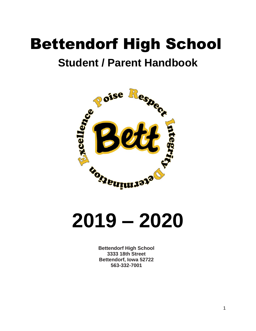## Bettendorf High School

## **Student / Parent Handbook**



**2019 – 2020**

**Bettendorf High School 3333 18th Street Bettendorf, Iowa 52722 563-332-7001**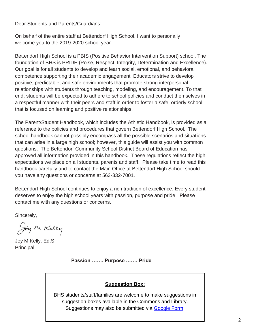Dear Students and Parents/Guardians:

On behalf of the entire staff at Bettendorf High School, I want to personally welcome you to the 2019-2020 school year.

Bettendorf High School is a PBIS (Positive Behavior Intervention Support) school. The foundation of BHS is PRIDE (Poise, Respect, Integrity, Determination and Excellence). Our goal is for all students to develop and learn social, emotional, and behavioral competence supporting their academic engagement. Educators strive to develop positive, predictable, and safe environments that promote strong interpersonal relationships with students through teaching, modeling, and encouragement. To that end, students will be expected to adhere to school policies and conduct themselves in a respectful manner with their peers and staff in order to foster a safe, orderly school that is focused on learning and positive relationships.

The Parent/Student Handbook, which includes the Athletic Handbook, is provided as a reference to the policies and procedures that govern Bettendorf High School. The school handbook cannot possibly encompass all the possible scenarios and situations that can arise in a large high school; however, this guide will assist you with common questions. The Bettendorf Community School District Board of Education has approved all information provided in this handbook. These regulations reflect the high expectations we place on all students, parents and staff. Please take time to read this handbook carefully and to contact the Main Office at Bettendorf High School should you have any questions or concerns at 563-332-7001.

Bettendorf High School continues to enjoy a rich tradition of excellence. Every student deserves to enjoy the high school years with passion, purpose and pride. Please contact me with any questions or concerns.

Sincerely,

Joy M Kelly

Joy M Kelly. Ed.S. Principal

**Passion ……. Purpose .…… Pride**

## **Suggestion Box:**

Suggestions may also be submitted via [Google Form.](https://docs.google.com/forms/d/e/1FAIpQLSeWWDVFxF6rSoc1Ba7EAvmG6S4_Ey4li2eZmMde7XgAccsDnQ/viewform) BHS students/staff/families are welcome to make suggestions in suggestion boxes available in the Commons and Library.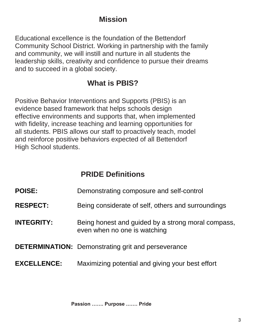## **Mission**

Educational excellence is the foundation of the Bettendorf Community School District. Working in partnership with the family and community, we will instill and nurture in all students the leadership skills, creativity and confidence to pursue their dreams and to succeed in a global society.

## **What is PBIS?**

Positive Behavior Interventions and Supports (PBIS) is an evidence based framework that helps schools design effective environments and supports that, when implemented with fidelity, increase teaching and learning opportunities for all students. PBIS allows our staff to proactively teach, model and reinforce positive behaviors expected of all Bettendorf High School students.

## **PRIDE Definitions**

- **POISE:** Demonstrating composure and self-control
- **RESPECT:** Being considerate of self, others and surroundings
- **INTEGRITY:** Being honest and guided by a strong moral compass, even when no one is watching
- **DETERMINATION:** Demonstrating grit and perseverance

## **EXCELLENCE:** Maximizing potential and giving your best effort

**Passion ……. Purpose .…… Pride**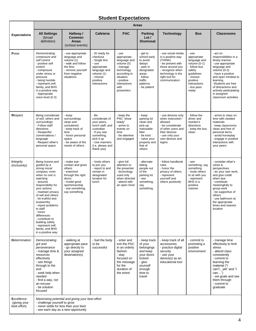## **Student Expectations**

|                                                   | <b>Areas</b>                                                                                                                                                                                                                                                                                                                                                                                   |                                                                                                                                                                |                                                                                                                                                                       |                                                                                                                                                               |                                                                                                                                         |                                                                                                                                                                         |                                                                                                                                                               |                                                                                                                                                                                                                                                                                 |
|---------------------------------------------------|------------------------------------------------------------------------------------------------------------------------------------------------------------------------------------------------------------------------------------------------------------------------------------------------------------------------------------------------------------------------------------------------|----------------------------------------------------------------------------------------------------------------------------------------------------------------|-----------------------------------------------------------------------------------------------------------------------------------------------------------------------|---------------------------------------------------------------------------------------------------------------------------------------------------------------|-----------------------------------------------------------------------------------------------------------------------------------------|-------------------------------------------------------------------------------------------------------------------------------------------------------------------------|---------------------------------------------------------------------------------------------------------------------------------------------------------------|---------------------------------------------------------------------------------------------------------------------------------------------------------------------------------------------------------------------------------------------------------------------------------|
| <b>Expectations</b>                               | <b>All Settings</b><br>(broad<br>definition)                                                                                                                                                                                                                                                                                                                                                   | Hallway /<br>Common<br><b>Areas</b><br>(school events)                                                                                                         | Cafeteria                                                                                                                                                             | <b>PAC</b>                                                                                                                                                    | Parking<br>Lot/<br><b>Dismissal</b>                                                                                                     | <b>Technology</b>                                                                                                                                                       | <b>Bus</b>                                                                                                                                                    | <b>Classrooms</b>                                                                                                                                                                                                                                                               |
| Poise                                             | Demonstrating<br>composure and<br>self control<br>- positive self<br>control<br>- composure<br>under stress or<br>pressure<br>- being humble<br>- represent self,<br>family, and BHS<br>in a positive way<br>- Appropriate<br>voice level (0-3)                                                                                                                                                | - use appropriate<br>language and<br>volume (1)<br>- walk and follow<br>the flow<br>- remove yourself<br>from negative<br>situations                           | - ID ready for<br>checkout<br>- Single line<br>- use<br>appropriate<br>language and<br>volume (1)<br>- choose<br>positive<br>interactions                             | - use<br>appropriate<br>language and<br>volume (0)<br>- manage<br>technology<br>according to<br>situation<br>- positive<br>interactions<br>with<br>presenters | - get to<br>school early<br>to avoid<br>delays<br>- park in<br>designated<br>areas<br>- follow<br>traffic<br>patterns<br>- be patient   | - use social media<br>in a positive way<br>(THINK)<br>- be present with<br>those around you<br>- recognize when<br>technology is the<br>right tool for<br>communication | - use<br>appropriate<br>language and<br>volume $(0-1)$<br>- follow bus<br>safety<br>guidelines<br>- choose<br>positive<br>interactions<br>- bus pass<br>ready | - act on<br>responsibilities in a<br>timely manner<br>- use appropriate<br>language and<br>volume $(0-2)$<br>- have a positive<br>and open mindset to<br>learning<br>-Students are free<br>of distractions and<br>actively participating<br>in assigned<br>classroom activities |
| Respect                                           | Being considerate<br>of self, others and<br>surroundings<br>- Follow staff<br>directions<br>- Respectful<br>conversations /<br>language<br>- Respect other's<br>personal space                                                                                                                                                                                                                 | - keep<br>surroundings<br>clean and<br>uncluttered<br>- keep track of<br>time<br>- honor personal<br>space<br>- be aware of the<br>needs of others             | - Be<br>considerate of<br>your peers,<br>lunch staff, and<br>custodian<br>- If you see<br>something,<br>pick it up<br>- Use manners<br>(i.e. please and<br>thank you) | - keep the<br>PAC "show<br>ready"<br>- arrive to<br>events on<br>time<br>- be attentive<br>and engaged                                                        | - keep<br>parking lot<br>clean and<br>pick-up<br>noticeable<br>litter<br>- be kind<br>- value your<br>property and<br>that of<br>others | - use devices only<br>when instructed /<br>allowed<br>- be considerate<br>of other users and<br>their devices<br>- use only your<br>own devices and<br>logins           | - follow the<br>driver and<br>monitor's<br>directions<br>- keep the bus<br>clean                                                                              | - arrive to class on<br>time with needed<br>materials<br>- keep classrooms<br>clean and free of<br>personal items<br>- avoid horseplay<br>- engage in positive<br>interactions with<br>your peers                                                                               |
| Integrity<br>(inclusivity)                        | Being honest and<br>guided by a<br>strong moral<br>compass, even<br>when no one is<br>watching<br>- assume<br>responsibility for<br>your actions<br>- maintain privacy<br>of self and others<br>- be truthful and<br>trustworthy<br>- report problems<br>to staff<br>- honor<br>differences<br>- contribute to<br>building safety<br>- represent self,<br>family, and BHS<br>in a positive way | - make eye-<br>contact and greet<br>others<br>- enter/exit<br>through the right<br>doors<br>- model good<br>sportsmanship<br>- see something,<br>say something | - Invite others<br>to join you<br>- report to and<br>remain in<br>designated<br>location for<br>lunch                                                                 | - give full<br>attention to<br>the presenter<br>- technology<br>used only<br>when directed<br>- attend with<br>an open mind                                   | - alternate<br>letting<br>people out<br>of the<br>parking lot<br>- see<br>something,<br>say<br>something                                | - follow handbook<br>rules<br>- honor the<br>privacy of others<br>- represent<br>yourself and<br>others positively                                                      | - see<br>something, say<br>something<br>- invite others<br>to sit with you<br>- represent<br>BHS in a<br>positive<br>manner                                   | - consider other's<br>views &<br>perspectives<br>- do your own work,<br>and give credit<br>when due<br>- contribute<br>meaningfully to<br>group work<br>- be supportive of<br>others<br>- use bathroom at<br>the appropriate<br>times and nearest<br>location                   |
| <b>Determination</b>                              | Demonstrating<br>grit and<br>perseverance<br>- manage time &<br>resources<br>effectively<br>- see things<br>through to the<br>end<br>- seek help when<br>needed<br>- find a way, not<br>an excuse<br>- be solution<br>focused                                                                                                                                                                  | - walking at<br>appropriate pace<br>- go directly to<br>your assigned<br>destination(s)                                                                        | - fuel the body<br>to be<br>successful                                                                                                                                | - enter and<br>exit the PAC<br>in an orderly<br>fashion<br>- stay<br>focused on<br>the message<br>for the<br>duration of<br>the event                         | - keep track<br>of your<br>belongings<br>and keep<br>your doors<br>locked<br>- give<br>yourself<br>enough<br>time to<br>travel          | - keep track of all<br>accessories<br>- practice digital<br>security<br>- use your<br>device(s) as an<br>educational tool                                               | - commit to<br>promoting a<br>positive<br>environment                                                                                                         | - manage time<br>effectively to limit<br>stress<br>- attend class<br>consistently<br>- commit to<br>learning the<br>material ("I<br>can'tyet" and "I<br>can")<br>- set goals and see<br>them through<br>- commit to<br>graduate                                                 |
| <b>Excellence</b><br>(giving your<br>best effort) | Maximizing potential and giving your best effort<br>- challenge yourself to grow<br>- never settle for less than your best<br>- see each day as a new opportunity                                                                                                                                                                                                                              |                                                                                                                                                                |                                                                                                                                                                       |                                                                                                                                                               |                                                                                                                                         |                                                                                                                                                                         |                                                                                                                                                               |                                                                                                                                                                                                                                                                                 |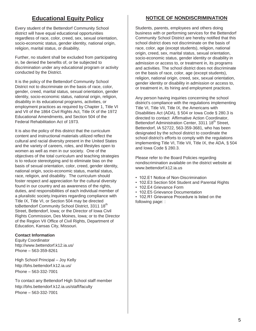## **Educational Equity Policy**

Every student of the Bettendorf Community School district will have equal educational opportunities regardless of race, color, creed, sex, sexual orientation, socio-economic status, gender identity, national origin, religion, marital status, or disability.

Further, no student shall be excluded from participating in, be denied the benefits of, or be subjected to discrimination under any educational program or activity conducted by the District.

It is the policy of the Bettendorf Community School District not to discriminate on the basis of race, color, gender, creed, marital status, sexual orientation, gender identity, socio-economic status, national origin, religion, disability in its educational programs, activities, or employment practices as required by Chapter 1, Title VI and VII of the 1864 Civil Rights Act, Title IX of the 1972 Educational Amendments, and Section 504 of the Federal Rehabilitation Act of 1973.

It is also the policy of this district that the curriculum content and instructional materials utilized reflect the cultural and racial diversity present in the United States and the variety of careers, roles, and lifestyles open to women as well as men in our society. One of the objectives of the total curriculum and teaching strategies is to reduce stereotyping and to eliminate bias on the basis of sexual orientation, color, creed, gender identity, national origin, socio-economic status, marital status, race, religion, and disability. The curriculum should foster respect and appreciation for the cultural diversity found in our country and as awareness of the rights, duties, and responsibilities of each individual member of a pluralistic society.Inquiries regarding compliance with Title IX, Title VI, or Section 504 may be directed toBettendorf Community School District, 3311 18<sup>th</sup> Street, Bettendorf, Iowa; or the Director of Iowa Civil Rights Commission, Des Moines, Iowa; or to the Director of the Region VII Office of Civil Rights, Department of Education, Kansas City, Missouri.

## **Contact Information**

Equity Coordinator <http://www.bettendorf.k12.ia.us/> Phone – 563-359-8261

High School Principal – Joy Kelly <http://bhs.bettendorf.k12.ia.us/> Phone – 563-332-7001

To contact any Bettendorf High School staff member <http://bhs.bettendorf.k12.ia.us/staff/faculty> Phone – 563-332-7001

## **NOTICE OF NONDISCRIMINATION**

Students, parents, employees and others doing business with or performing services for the Bettendorf Community School District are hereby notified that this school district does not discriminate on the basis of race, color, age (except students), religion, national origin, creed, sex, marital status, sexual orientation, socio-economic status, gender identity or disability in admission or access to, or treatment in, its programs and activities. The school district does not discriminate on the basis of race, color, age (except students), religion, national origin, creed, sex, sexual orientation, gender identity or disability in admission or access to, or treatment in, its hiring and employment practices.

Any person having inquiries concerning the school district's compliance with the regulations implementing Title VI, Title VII, Title IX, the Americans with Disabilities Act (ADA), § 504 or Iowa Code § 280.3 is directed to contact Affirmative Action Coordinator, Bettendorf Administration Center, 3311 18<sup>th</sup> Street, Bettendorf, IA 52722, 563-359-3681, who has been designated by the school district to coordinate the school district's efforts to comply with the regulations implementing Title VI, Title VII, Title IX, the ADA, § 504 and Iowa Code § 280.3.

Please refer to the Board Policies regarding nondiscrimination available on the district website at [www.bettendorf.k12.ia.us](http://www.bettendorf.k12.ia.us/)

- 102.E1 Notice of Non-Discrimination
- 102.E3 Section 504 Student and Parental Rights
- 102.E4 Grievance Form
- 102.E5 Grievance Documentation
- 102.R1 Grievance Procedure is listed on the following page: :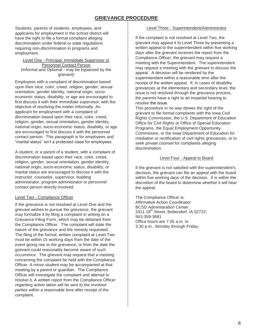## **GRIEVANCE PROCEDURE**

Students, parents of students, employees, and applicants for employment in the school district will have the right to file a formal complaint alleging discrimination under federal or state regulations requiring non-discrimination in programs and employment.

#### Level One - Principal, Immediate Supervisor or Personnel Contact Person (Informal and Optional - may be bypassed by the grievant)

Employees with a complaint of discrimination based upon their race, color, creed, religion, gender, sexual orientation, gender identity, national origin, socioeconomic status, disability, or age are encouraged to first discuss it with their immediate supervisor, with the objective of resolving the matter informally. An applicant for employment with a complaint of discrimination based upon their race, color, creed, religion, gender, sexual orientation, gender identity, national origin, socio-economic status, disability, or age are encouraged to first discuss it with the personnel contact person. This paragraph is for employees and "marital status" isn't a protected class for employees.

A student, or a parent of a student, with a complaint of discrimination based upon their race, color, creed, religion, gender, sexual orientation, gender identity, national origin, socio-economic status, disability, or marital status are encouraged to discuss it with the instructor, counselor, supervisor, building administrator, program administrator or personnel contact person directly involved.

## Level Two - Compliance Officer

If the grievance is not resolved at Level One and the grievant wishes to pursue the grievance, the grievant may formalize it by filing a complaint in writing on a Grievance Filing Form, which may be obtained from the Compliance Officer. The complaint will state the nature of the grievance and the remedy requested. The filing of the formal, written complaint at Level Two must be within 15 working days from the date of the event giving rise to the grievance, or from the date the grievant could reasonably become aware of such occurrence. The grievant may request that a meeting concerning the complaint be held with the Compliance Officer. A minor student may be accompanied at that meeting by a parent or guardian. The Compliance Officer will investigate the complaint and attempt to resolve it. A written report from the Compliance Officer regarding action taken will be sent to the involved parties within a reasonable time after receipt of the complaint.

#### Level Three - Superintendent/Administrator

If the complaint is not resolved at Level Two, the grievant may appeal it to Level Three by presenting a written appeal to the superintendent within five working days after the grievant receives the report from the Compliance Officer, the grievant may request a meeting with the Superintendent. The superintendent may request a meeting with the grievant to discuss the appeal. A decision will be rendered by the superintendent within a reasonable time after the receipt of the written appeal. If, in cases of disability grievances at the elementary and secondary level, the issue is not resolved through the grievance process, the parents have a right to an impartial hearing to resolve the issue.

This procedure in no way denies the right of the grievant to file formal complaints with the Iowa Civil Rights Commission, the U.S. Department of Education Office for Civil Rights or Office of Special Education Programs, the Equal Employment Opportunity Commission, or the Iowa Department of Education for mediation or rectification of civil rights grievances, or to seek private counsel for complaints alleging discrimination.

#### Level Four - Appeal to Board

If the grievant is not satisfied with the superintendent's decision, the grievant can file an appeal with the board within five working days of the decision. It is within the discretion of the board to determine whether it will hear the appeal.

The Compliance Officer is: Affirmative Action Coordinator BCSD Administration Center 3311 18<sup>th</sup> Street, Bettendorf, IA 52722, 563-359-3681 Office hours are 7:45 a.m. to 3:30 p.m., Monday through Friday.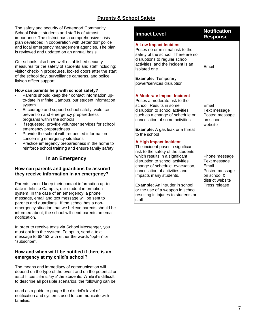## **Parents & School Safety**

The safety and security of Bettendorf Community School District students and staff is of utmost importance. The district has a comprehensive crisis plan developed in cooperation with Bettendorf police and local emergency management agencies. The plan is reviewed and updated on an annual basis.

Our schools also have well-established security measures for the safety of students and staff including: visitor check-in procedures, locked doors after the start of the school day, surveillance cameras, and police liaison officer support.

### **How can parents help with school safety?**

- Parents should keep their contact information upto-date in Infinite Campus, our student information system
- Encourage and support school safety, violence prevention and emergency preparedness programs within the schools
- If requested, provide volunteer services for school emergency preparedness
- Provide the school with requested information concerning emergency situations
- Practice emergency preparedness in the home to reinforce school training and ensure family safety

## **In an Emergency**

## **How can parents and guardians be assured they receive information in an emergency?**

Parents should keep their contact information up-todate in Infinite Campus, our student information system. In the case of an emergency, a phone message, email and text message will be sent to parents and guardians. If the school has a nonemergency situation that we believe parents should be informed about, the school will send parents an email notification.

In order to receive texts via School Messenger, you must opt into the system. To opt in, send a text message to 68453 with either the words "opt-in" or "subscribe".

## **How and when will I be notified if there is an emergency at my child's school?**

The means and immediacy of communication will depend on the type of the event and on the potential or actual impact to the safety of the students. While it's difficult to describe all possible scenarios, the following can be

used as a guide to gauge the district's level of notification and systems used to communicate with families:

| <b>Impact Level</b>                                                                                                                                                                                                                                                           | <b>Notification</b><br><b>Response</b>                                                      |
|-------------------------------------------------------------------------------------------------------------------------------------------------------------------------------------------------------------------------------------------------------------------------------|---------------------------------------------------------------------------------------------|
| <b>A Low Impact Incident</b><br>Poses no or minimal risk to the<br>safety of the school. There are no<br>disruptions to regular school<br>activities, and the incident is an<br>isolated one.                                                                                 | Email                                                                                       |
| <b>Example: Temporary</b><br>power/services disruption                                                                                                                                                                                                                        |                                                                                             |
| <b>A Moderate Impact Incident</b><br>Poses a moderate risk to the<br>school. Results in some<br>disruption to school activities<br>such as a change of schedule or<br>cancellation of some activities.<br><b>Example:</b> A gas leak or a threat<br>to the school             | Email<br>Text message<br>Posted message<br>on school<br>website                             |
| <b>A High Impact Incident</b><br>The incident poses a significant<br>risk to the safety of the students,<br>which results in a significant<br>disruption to school activities,<br>change of schedule, evacuation,<br>cancellation of activities and<br>impacts many students. | Phone message<br>Text message<br>Email<br>Posted message<br>on school &<br>district website |
| <b>Example:</b> An intruder in school<br>or the use of a weapon in school<br>resulting in injuries to students or<br>staff                                                                                                                                                    | Press release                                                                               |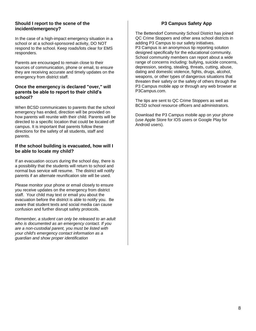## **Should I report to the scene of the incident/emergency?**

In the case of a high-impact emergency situation in a school or at a school-sponsored activity, DO NOT respond to the school. Keep roads/lots clear for EMS responders.

Parents are encouraged to remain close to their sources of communication, phone or email, to ensure they are receiving accurate and timely updates on the emergency from district staff.

## **Once the emergency is declared "over," will parents be able to report to their child's school?**

When BCSD communicates to parents that the school emergency has ended, direction will be provided on how parents will reunite with their child. Parents will be directed to a specific location that could be located off campus. It is important that parents follow these directions for the safety of all students, staff and parents.

## **If the school building is evacuated, how will I be able to locate my child?**

If an evacuation occurs during the school day, there is a possibility that the students will return to school and normal bus service will resume. The district will notify parents if an alternate reunification site will be used.

Please monitor your phone or email closely to ensure you receive updates on the emergency from district staff. Your child may text or email you about the evacuation before the district is able to notify you. Be aware that student texts and social media can cause confusion and further disrupt safety protocols.

*Remember, a student can only be released to an adult who is documented as an emergency contact. If you are a non-custodial parent, you must be listed with your child's emergency contact information as a guardian and show proper identification*

## **P3 Campus Safety App**

The Bettendorf Community School District has joined QC Crime Stoppers and other area school districts in adding P3 Campus to our safety initiatives. P3 Campus is an anonymous tip reporting solution designed specifically for the educational community. School community members can report about a wide range of concerns including: bullying, suicide concerns, depression, sexting, stealing, threats, cutting, abuse, dating and domestic violence, fights, drugs, alcohol, weapons, or other types of dangerous situations that threaten their safety or the safety of others through the P3 Campus mobile app or through any web browser at P3Campus.com.

The tips are sent to QC Crime Stoppers as well as BCSD school resource officers and administrators.

Download the P3 Campus mobile app on your phone (use Apple Store for IOS users or Google Play for Android users).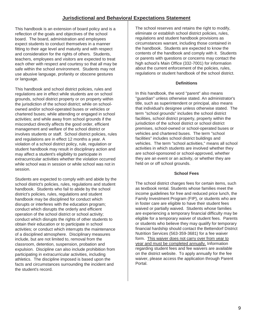## **Jurisdictional and Behavioral Expectations Statement**

This handbook is an extension of board policy and is a reflection of the goals and objectives of the school board. The board, administration and employees expect students to conduct themselves in a manner fitting to their age level and maturity and with respect and consideration for the rights of others. Students, teachers, employees and visitors are expected to treat each other with respect and courtesy so that all may be safe within the school environment. Students may not use abusive language, profanity or obscene gestures or language.

This handbook and school district policies, rules and regulations are in effect while students are on school grounds, school district property or on property within the jurisdiction of the school district; while on schoolowned and/or school-operated buses or vehicles or chartered buses; while attending or engaged in school activities; and while away from school grounds if the misconduct directly affects the good order, efficient management and welfare of the school district or involves students or staff. School district policies, rules and regulations are in effect 12 months a year. A violation of a school district policy, rule, regulation or student handbook may result in disciplinary action and may affect a student's eligibility to participate in extracurricular activities whether the violation occurred while school was in session or while school was not in session.

Students are expected to comply with and abide by the school district's policies, rules, regulations and student handbook. Students who fail to abide by the school district's policies, rules, regulations and student handbook may be disciplined for conduct which disrupts or interferes with the education program; conduct which disrupts the orderly and efficient operation of the school district or school activity; conduct which disrupts the rights of other students to obtain their education or to participate in school activities; or conduct which interrupts the maintenance of a disciplined atmosphere. Disciplinary measures include, but are not limited to, removal from the classroom, detention, suspension, probation and expulsion. Discipline can also include prohibition from participating in extracurricular activities, including athletics. The discipline imposed is based upon the facts and circumstances surrounding the incident and the student's record.

The school reserves and retains the right to modify, eliminate or establish school district policies, rules, regulations and student handbook provisions as circumstances warrant, including those contained in the handbook. Students are expected to know the contents of the handbook and comply with it. Students or parents with questions or concerns may contact the high school's Main Office (332-7001) for information about the current enforcement of the policies, rules, regulations or student handbook of the school district.

## **Definitions**

In this handbook, the word "parent" also means "guardian" unless otherwise stated. An administrator's title, such as superintendent or principal, also means that individual's designee unless otherwise stated. The term "school grounds" includes the school district facilities, school district property, property within the jurisdiction of the school district or school district premises, school-owned or school-operated buses or vehicles and chartered buses. The term "school facilities" includes school district buildings and vehicles. The term "school activities," means all school activities in which students are involved whether they are school-sponsored or school-approved, whether they are an event or an activity, or whether they are held on or off school grounds.

## **School Fees**

The school district charges fees for certain items, such as textbook rental. Students whose families meet the income guidelines for free and reduced price lunch, the Family Investment Program (FIP), or students who are in foster care are eligible to have their student fees waived or partially waived. Students whose families are experiencing a temporary financial difficulty may be eligible for a temporary waiver of student fees. Parents or students who believe they may qualify for temporary financial hardship should contact the Bettendorf District Nutrition Services (563-359-3681) for a fee waiver form. This waiver does not carry over from year to year and must be completed annually. Information regarding student fees and fee waivers are available on the district website. To apply annually for the fee waiver, please access the application through Parent Portal.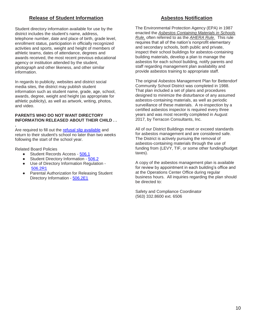## **Release of Student Information**

Student directory information available for use by the district includes the student's name, address, telephone number, date and place of birth, grade level, enrollment status, participation in officially recognized activities and sports, weight and height of members of athletic teams, dates of attendance, degrees and awards received, the most recent previous educational agency or institution attended by the student, photograph and other likeness, and other similar information.

In regards to publicity, websites and district social media sites, the district may publish student information such as student name, grade, age, school, awards, degree, weight and height (as appropriate for athletic publicity), as well as artwork, writing, photos, and video.

### **PARENTS WHO DO NOT WANT DIRECTORY INFORMATION RELEASED ABOUT THEIR CHILD . .**

**.** Are required to fill out the [refusal slip available](http://bettendorf.k12.ia.us/download_file/view/539/233) and return to their student's school no later than two weeks following the start of the school year.

Related Board Policies

- Student Records Access [506.1](http://bettendorf.k12.ia.us/download_file/view/526/233)
- Student Directory Information [506.2](http://bettendorf.k12.ia.us/download_file/view/538/233)
- Use of Directory Information Regulation [506.2R1](http://bettendorf.k12.ia.us/download_file/view/540/233)
- Parental Authorization for Releasing Student Directory Information - [506.2E1](http://bettendorf.k12.ia.us/download_file/view/539/233)

## **Asbestos Notification**

The Environmental Protection Agency (EPA) in 1987 enacted the *Asbestos Containing Materials in Schools Rule,* often referred to as the *AHERA Rule.* This rule requires that all of the nation's nonprofit elementary and secondary schools, both public and private, inspect their school buildings for asbestos-containing building materials, develop a plan to manage the asbestos for each school building, notify parents and staff regarding management plan availability and provide asbestos training to appropriate staff.

The original Asbestos Management Plan for Bettendorf Community School District was completed in 1988. That plan included a set of plans and procedures designed to minimize the disturbance of any assumed asbestos-containing materials, as well as periodic surveillance of these materials. A re-inspection by a certified asbestos inspector is required every three years and was most recently completed in August 2017, by Terracon Consultants, Inc.

All of our District Buildings meet or exceed standards for asbestos management and are considered safe. The District is actively pursuing the removal of asbestos-containing materials through the use of funding from (LEVY, TIF, or some other funding/budget taxes).

A copy of the asbestos management plan is available for review by appointment in each building's office and at the Operations Center Office during regular business hours. All inquiries regarding the plan should be directed to:

Safety and Compliance Coordinator (563) 332.8600 ext. 6506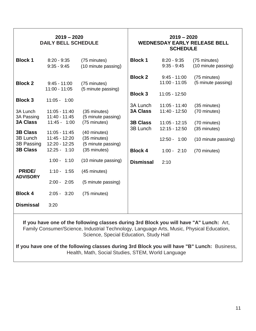| $2019 - 2020$<br><b>DAILY BELL SCHEDULE</b> |                                   |                                     | $2019 - 2020$<br><b>WEDNESDAY EARLY RELEASE BELL</b><br><b>SCHEDULE</b> |                                                      |                                     |  |
|---------------------------------------------|-----------------------------------|-------------------------------------|-------------------------------------------------------------------------|------------------------------------------------------|-------------------------------------|--|
| <b>Block 1</b>                              | $8:20 - 9:35$<br>$9:35 - 9:45$    | (75 minutes)<br>(10 minute passing) | <b>Block 1</b>                                                          | $8:20 - 9:35$<br>$9:35 - 9:45$                       | (75 minutes)<br>(10 minute passing) |  |
| <b>Block 2</b>                              | $9:45 - 11:00$<br>$11:00 - 11:05$ | (75 minutes)<br>(5 minute passing)  | <b>Block 2</b><br><b>Block 3</b>                                        | $9:45 - 11:00$<br>$11:00 - 11:05$<br>$11:05 - 12:50$ | (75 minutes)<br>(5 minute passing)  |  |
| <b>Block 3</b>                              | $11:05 - 1:00$                    |                                     | 3A Lunch                                                                | $11:05 - 11:40$                                      | (35 minutes)                        |  |
| 3A Lunch<br>3A Passing                      | $11:05 - 11:40$<br>11:40 - 11:45  | (35 minutes)<br>(5 minute passing)  | <b>3A Class</b>                                                         | 11:40 - 12:50                                        | (70 minutes)                        |  |
| <b>3A Class</b><br><b>3B Class</b>          | $11:45 - 1:00$<br>$11:05 - 11:45$ | (75 minutes)<br>(40 minutes)        | <b>3B Class</b><br>3B Lunch                                             | $11:05 - 12:15$<br>$12:15 - 12:50$                   | (70 minutes)<br>(35 minutes)        |  |
| 3B Lunch<br>3B Passing                      | $11:45 - 12:20$<br>12:20 - 12:25  | (35 minutes)<br>(5 minute passing)  |                                                                         | $12:50 - 1:00$                                       | (10 minute passing)                 |  |
| <b>3B Class</b>                             | 12:25 - 1:10                      | (35 minutes)                        | <b>Block 4</b>                                                          | $1:00 - 2:10$                                        | (70 minutes)                        |  |
| PRIDE/                                      | $1:00 - 1:10$<br>$1:10 - 1:55$    | (10 minute passing)<br>(45 minutes) | <b>Dismissal</b>                                                        | 2:10                                                 |                                     |  |
| <b>ADVISORY</b>                             | $2:00 - 2:05$                     | (5 minute passing)                  |                                                                         |                                                      |                                     |  |
| <b>Block 4</b>                              | $2:05 - 3:20$                     | (75 minutes)                        |                                                                         |                                                      |                                     |  |
| <b>Dismissal</b>                            | 3:20                              |                                     |                                                                         |                                                      |                                     |  |

**If you have one of the following classes during 3rd Block you will have "A" Lunch:** Art, Family Consumer/Science, Industrial Technology, Language Arts, Music, Physical Education, Science, Special Education, Study Hall

**If you have one of the following classes during 3rd Block you will have "B" Lunch:** Business, Health, Math, Social Studies, STEM, World Language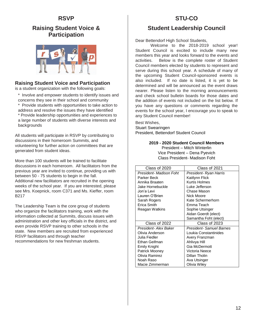## **RSVP**

## **Raising Student Voice & Participation**



## **Raising Student Voice and Participation**

is a student organization with the following goals:

- \* Involve and empower students to identify issues and concerns they see in their school and community
- \* Provide students with opportunities to take action to address and resolve the issues they have identified
- \* Provide leadership opportunities and experiences to a large number of students with diverse interests and backgrounds

All students will participate in RSVP by contributing to discussions in their homeroom Summits, and volunteering for further action on committees that are generated from student ideas.

More than 100 students will be trained to facilitate discussions in each homeroom. All facilitators from the previous year are invited to continue, providing us with between 50 - 75 students to begin in the fall. Additional new facilitators are recruited in the opening weeks of the school year. If you are interested, please see Mrs. Koepnick, room C371 and Ms. Kieffer, room B217

The Leadership Team is the core group of students who organize the facilitators training, work with the information collected at Summits, discuss issues with administration and other key officials in the district, and even provide RSVP training to other schools in the state. New members are recruited from experienced RSVP facilitators and through teacher recommendations for new freshman students.

## **STU-CO**

## **Student Leadership Council**

Dear Bettendorf High School Students,

Welcome to the 2018-2019 school year! Student Council is excited to include many new members this year and looks forward to the events and activities. Below is the complete roster of Student Council members elected by students to represent and serve during this school year. A schedule of many of the upcoming Student Council-sponsored events is also included. If no date is listed, it is yet to be determined and will be announced as the event draws nearer. Please listen to the morning announcements and check school bulletin boards for those dates and the addition of events not included on the list below. If you have any questions or comments regarding the events for the school year, I encourage you to speak to any Student Council member!

Best Wishes, Stuart Swearingen President, Bettendorf Student Council

> **2019 - 2020 Student Council Members** President – Mitch Winterlin Vice President – Dena Pyevich Class President- Madison Foht

| Class of 2020           | Class of 2021            |
|-------------------------|--------------------------|
| President- Madison Foht | President- Ryan Harris   |
| Parker Beck             | Kaitlynn Flick           |
| Annika Braaten          | Kurtis Holmes            |
| Jake Hornebuckle        | Luke Jefferson           |
| Jon'a Levi              | Chase Mason              |
| Lauren O'Brien          | Nick Moore               |
| Sarah Rogers            | Kate Schermerhorn        |
| <b>Erica Smith</b>      | Emma Teach               |
| Reagan Watkins          | Sophie Utsinger          |
|                         | Aidan Goerdt (elect)     |
|                         | Samantha Foht (elect)    |
| Class of 2022           | Class of 2023            |
| President- Alex Baker   | President- Samuel Barnes |
| Olivia Anderson         | Loukia Constantinides    |
| Julia Fiedler           | Avery Franzman           |
| Ethan Geifman           | Ahlivya Hill             |
| Emily Knight            | Gia McDermott            |
| Patrick Mooney          | Victoria Neece           |
| Olivia Ramirez          | Dillan Tholin            |
| Noah Raso               | Ava Utsinger             |
| Macie Zimmerman         | Olivia Wiley             |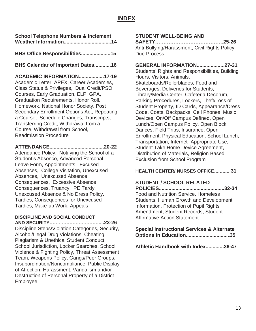## **INDEX**

**School Telephone Numbers & Inclement Weather Information..................................14**

**BHS Office Responsibilities..................... 15**

**BHS Calendar of Important Dates............16**

**ACADEMIC INFORMATION..................17-19**

Academic Letter, APEX, Career Academies, Class Status & Privileges, Dual Credit/PSO Courses, Early Graduation, ELP, GPA, Graduation Requirements, Honor Roll, Homework, National Honor Society, Post Secondary Enrollment Options Act, Repeating a Course, Schedule Changes, Transcripts, Transferring Credit, Withdrawal from a Course, Withdrawal from School, Readmission Procedure

## **ATTENDANCE.......................................20-22**

Attendance Policy, Notifying the School of a Student's Absence, Advanced Personal Leave Form, Appointments, Excused Absences, College Visitation, Unexcused Absences, Unexcused Absence Consequences, Excessive Absence Consequences, Truancy, PE Tardy, Unexcused Absence & No Dress Policy, Tardies, Consequences for Unexcused Tardies, Make-up Work, Appeals

## **DISCIPLINE AND SOCIAL CONDUCT**

**AND SECURITY……………………………...23-26** Discipline Steps/Violation Categories, Security, Alcohol/Illegal Drug Violations, Cheating, Plagiarism & Unethical Student Conduct, School Jurisdiction, Locker Searches, School Violence & Fighting Policy, Threat Assessment Team, Weapons Policy, Gangs/Peer Groups, Insubordination/Noncompliance, Public Display of Affection, Harassment, Vandalism and/or Destruction of Personal Property of a District Employee

## **STUDENT WELL-BEING AND**

**SAFETY…………………………………..25-26** Anti-Bullying/Harassment, Civil Rights Policy, Due Process

## **GENERAL INFORMATION....................27-31**

Students' Rights and Responsibilities, Building Hours, Visitors, Animals, Skateboards/Rollerblades, Food and Beverages, Deliveries for Students, Library/Media Center, Cafeteria Decorum, Parking Procedures, Lockers, Theft/Loss of Student Property, ID Cards, Appearance/Dress Code, Coats, Backpacks, Cell Phones, Music Devices, On/Off Campus Defined, Open Lunch/Open Campus Policy, Open Block, Dances, Field Trips, Insurance, Open Enrollment, Physical Education, School Lunch, Transportation, Internet- Appropriate Use, Student Take Home Device Agreement, Distribution of Materials, Religion Based Exclusion from School Program

## **HEALTH CENTER/ NURSES OFFICE........... 31**

## **STUDENT / SCHOOL RELATED**

**POLICIES...............................................32-34** Food and Nutrition Service, Homeless Students, Human Growth and Development Information, Protection of Pupil Rights Amendment, Student Records, Student Affirmative Action Statement

**Special Instructional Services & Alternate Options in Education................................35**

**Athletic Handbook with Index.............36-47**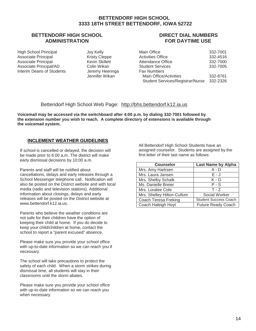## **BETTENDORF HIGH SCHOOL 3333 18TH STREET BETTENDORF, IOWA 52722**

## **BETTENDORF HIGH SCHOOL ADMINISTRATION**

High School Principal and Joy Kelly<br>Associate Principal Associate Principal Associate Principal **Kristy Cleppe**<br>
Associate Principal **Keys** Kevin Skillett Associate Principal Associate Principal/AD Colin Wikan<br>
Interim Deans of Students Jeremy Heeringa Interim Deans of Students

Jennifer Wikan

## **DIRECT DIAL NUMBERS FOR DAYTIME USE**

| Main Office                             | 332-7001 |
|-----------------------------------------|----------|
| Activities Office                       | 332-4516 |
| Attendance Office                       | 332-7000 |
| <b>Student Services</b>                 | 332-7005 |
| <b>Fax Numbers</b>                      |          |
| Main Office/Activities                  | 332-8761 |
| <b>Student Services/Registrar/Nurse</b> | 332-2326 |

## Bettendorf High School Web Page: [http://bhs.bettendorf.k12.ia.us](http://bhs.bettendorf.k12.ia.us/)

**Voicemail may be accessed via the switchboard after 4:00 p.m. by dialing 332-7001 followed by the extension number you wish to reach. A complete directory of extensions is available through the voicemail system.**

## **INCLEMENT WEATHER GUIDELINES**

If school is cancelled or delayed, the decision will be made prior to 6:00 a.m. The district will make early dismissal decisions by 10:00 a.m.

Parents and staff will be notified about cancellations, delays and early releases through a School Messenger telephone call. Notification will also be posted on the District website and with local media (radio and television stations). Additional information about closings, delays and early releases will be posted on the District website at [www.bettendorf.k12.ia.us.](http://www.bettendorf.k12.ia.us/)

Parents who believe the weather conditions are not safe for their children have the option of keeping their child at home. If you do decide to keep your child/children at home, contact the school to report a "parent excused" absence.

Please make sure you provide your school office with up-to-date information so we can reach you if necessary.

The school will take precautions to protect the safety of each child. When a storm strikes during dismissal time, all students will stay in their classrooms until the storm abates.

Please make sure you provide your school office with up-to-date information so we can reach you when necessary.

All Bettendorf High School Students have an assigned counselor. Students are assigned by the first letter of their last name as follows:

| <b>Counselor</b>           | <b>Last Name by Alpha</b>    |
|----------------------------|------------------------------|
| Mrs. Amy Harksen           | A - D                        |
| Mrs. Laura Jansen          | E - J                        |
| Mrs. Shelby Schalk         | K - O                        |
| Ms. Danielle Breier        | $P-S$                        |
| Mrs. Loralee Cole          | $T - Z$                      |
| Mrs. Shelley Hilton-Cullum | Social Worker                |
| Coach Teresa Freking       | <b>Student Success Coach</b> |
| Coach Haleigh Hoyt         | <b>Future Ready Coach</b>    |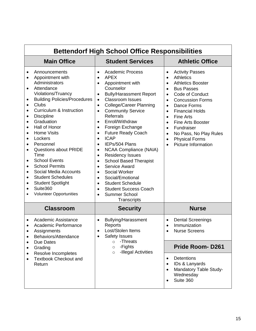| <b>Bettendorf High School Office Responsibilities</b>                                                                                                                                                                                                                                                                                                                                                                                                                                                                                                                                                                                                                                                                                |                                                                                                                                                                                                                                                                                                                                                                                                                                                                                                                                                                                                                                                                                                                                                                                                                                   |                                                                                                                                                                                                                                                                                                                                                                                                                                                                                                            |  |  |  |
|--------------------------------------------------------------------------------------------------------------------------------------------------------------------------------------------------------------------------------------------------------------------------------------------------------------------------------------------------------------------------------------------------------------------------------------------------------------------------------------------------------------------------------------------------------------------------------------------------------------------------------------------------------------------------------------------------------------------------------------|-----------------------------------------------------------------------------------------------------------------------------------------------------------------------------------------------------------------------------------------------------------------------------------------------------------------------------------------------------------------------------------------------------------------------------------------------------------------------------------------------------------------------------------------------------------------------------------------------------------------------------------------------------------------------------------------------------------------------------------------------------------------------------------------------------------------------------------|------------------------------------------------------------------------------------------------------------------------------------------------------------------------------------------------------------------------------------------------------------------------------------------------------------------------------------------------------------------------------------------------------------------------------------------------------------------------------------------------------------|--|--|--|
| <b>Main Office</b>                                                                                                                                                                                                                                                                                                                                                                                                                                                                                                                                                                                                                                                                                                                   | <b>Student Services</b>                                                                                                                                                                                                                                                                                                                                                                                                                                                                                                                                                                                                                                                                                                                                                                                                           | <b>Athletic Office</b>                                                                                                                                                                                                                                                                                                                                                                                                                                                                                     |  |  |  |
| Announcements<br>$\bullet$<br>Appointment with<br>$\bullet$<br>Administrators<br>Attendance<br>$\bullet$<br>Violations/Truancy<br><b>Building Policies/Procedures</b><br>$\bullet$<br><b>Clubs</b><br>$\bullet$<br>Curriculum & Instruction<br>$\bullet$<br><b>Discipline</b><br>$\bullet$<br>Graduation<br>$\bullet$<br>Hall of Honor<br>$\bullet$<br><b>Home Visits</b><br>$\bullet$<br>Lockers<br>$\bullet$<br>Personnel<br>$\bullet$<br>Questions about PRIDE<br>٠<br>Time<br><b>School Events</b><br>$\bullet$<br><b>School Permits</b><br>$\bullet$<br>Social Media Accounts<br>$\bullet$<br><b>Student Schedules</b><br>$\bullet$<br><b>Student Spotlight</b><br>٠<br>Suite360<br>$\bullet$<br><b>Volunteer Opportunities</b> | <b>Academic Process</b><br>$\bullet$<br><b>APEX</b><br>$\bullet$<br>Appointment with<br>$\bullet$<br>Counselor<br><b>Bully/Harassment Report</b><br>$\bullet$<br><b>Classroom Issues</b><br>$\bullet$<br><b>College/Career Planning</b><br>$\bullet$<br><b>Community Service</b><br>$\bullet$<br><b>Referrals</b><br>Enroll/Withdraw<br>Foreign Exchange<br>$\bullet$<br><b>Future Ready Coach</b><br>$\bullet$<br><b>ICAP</b><br>$\bullet$<br>IEPs/504 Plans<br>$\bullet$<br><b>NCAA Compliance (NAIA)</b><br><b>Residency Issues</b><br>$\bullet$<br><b>School Based Therapist</b><br>$\bullet$<br>Service Award<br>$\bullet$<br><b>Social Worker</b><br>$\bullet$<br>Social/Emotional<br>$\bullet$<br><b>Student Schedule</b><br>$\bullet$<br><b>Student Success Coach</b><br>$\bullet$<br><b>Summer School</b><br>Transcripts | <b>Activity Passes</b><br>$\bullet$<br><b>Athletics</b><br>$\bullet$<br><b>Athletics Booster</b><br>$\bullet$<br><b>Bus Passes</b><br>$\bullet$<br>Code of Conduct<br>$\bullet$<br><b>Concussion Forms</b><br>$\bullet$<br>Dance Forms<br>$\bullet$<br><b>Financial Holds</b><br>$\bullet$<br><b>Fine Arts</b><br><b>Fine Arts Booster</b><br>$\bullet$<br>Fundraiser<br>$\bullet$<br>No Pass, No Play Rules<br>$\bullet$<br><b>Physical Forms</b><br>$\bullet$<br><b>Picture Information</b><br>$\bullet$ |  |  |  |
| <b>Classroom</b>                                                                                                                                                                                                                                                                                                                                                                                                                                                                                                                                                                                                                                                                                                                     | <b>Security</b>                                                                                                                                                                                                                                                                                                                                                                                                                                                                                                                                                                                                                                                                                                                                                                                                                   | <b>Nurse</b>                                                                                                                                                                                                                                                                                                                                                                                                                                                                                               |  |  |  |
| Academic Assistance<br>٠<br>Academic Performance<br>$\bullet$<br>Assignments<br>Behaviors/Attendance<br>$\bullet$                                                                                                                                                                                                                                                                                                                                                                                                                                                                                                                                                                                                                    | <b>Bullying/Harassment</b><br>$\bullet$<br>Reports<br>Lost/Stolen Items<br><b>Safety Issues</b>                                                                                                                                                                                                                                                                                                                                                                                                                                                                                                                                                                                                                                                                                                                                   | <b>Dental Screenings</b><br>$\bullet$<br>Immunization<br>$\bullet$<br><b>Nurse Screens</b>                                                                                                                                                                                                                                                                                                                                                                                                                 |  |  |  |
| Due Dates<br>$\bullet$<br>Grading<br>٠                                                                                                                                                                                                                                                                                                                                                                                                                                                                                                                                                                                                                                                                                               | -Threats<br>$\circ$<br>-Fights<br>$\circ$<br>-Illegal Activities<br>$\circ$                                                                                                                                                                                                                                                                                                                                                                                                                                                                                                                                                                                                                                                                                                                                                       | <b>Pride Room-D261</b>                                                                                                                                                                                                                                                                                                                                                                                                                                                                                     |  |  |  |
| Resolve Incompletes<br>$\bullet$<br><b>Textbook Checkout and</b><br>$\bullet$<br>Return                                                                                                                                                                                                                                                                                                                                                                                                                                                                                                                                                                                                                                              |                                                                                                                                                                                                                                                                                                                                                                                                                                                                                                                                                                                                                                                                                                                                                                                                                                   | Detentions<br>$\bullet$<br>IDs & Lanyards<br>$\bullet$<br>Mandatory Table Study-<br>Wednesday<br>Suite 360<br>$\bullet$                                                                                                                                                                                                                                                                                                                                                                                    |  |  |  |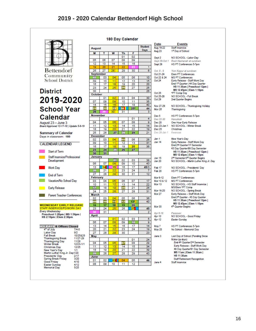

**Bettendorf** Community **School District** 

## **District** 2019-2020 **School Year Calendar**

August 23 - June 3<br>Board Approved 12-17-18 | Update 5-9-19

**Summary of Calendar** Days in classroom: 180



#### **WEDNESDAY EARLY RELEASE** STAFF INSERVICE/PD/WORK DAY

Every Wednesday<br>Preschool 1:20pm | MS 1:56pm |<br>HS 2:10pm | Elem 2:30pm

| <b>HOLIDAYS &amp; Offices Closed</b> |           |
|--------------------------------------|-----------|
| 4 <sup>th</sup> of July              | $7/4 - 5$ |
| Labor Day                            | 9/2       |
| <b>Fall Break</b>                    | 10/25&28  |
| <b>Thanksgiving Break</b>            | 11/27-29  |
| <b>Thanksgiving Day</b>              | 11/28     |
| <b>Winter Break</b>                  | 12/23-1/1 |
| Christmas Dav                        | 12/25     |
| New Year's Day                       | 1/1       |
| Martin Luther King Jr. Day1/20       |           |
| Presidents' Day                      | 2/17      |
| Spring Break Friday                  | 3/20      |
| Good Friday                          | 4/10      |
| <b>Easter Sunday</b>                 | 4/12      |
| Memorial Dav                         | 5/25      |

|  |  |  | 180 Day Calendar |
|--|--|--|------------------|
|--|--|--|------------------|

| August           |          |                       |          |          | <b>Student</b><br><b>Days</b> | Aug 19-22<br>Aug 23     |
|------------------|----------|-----------------------|----------|----------|-------------------------------|-------------------------|
| M                | т        | W                     | Th       | F        |                               |                         |
|                  |          |                       | 01       | 02       |                               | Sept 2                  |
| 05               | 06       | 07                    | 08       | 09       |                               | Sept 29-0               |
| 12               | 13       | 14                    | 15       | 16       |                               | Sept 26                 |
| 19               | 20       | 21                    | 22       |          | 1                             |                         |
| 26               | 27       | 28                    | 29       | 30       | 6                             | Oct. 8 - 9              |
| <b>September</b> |          |                       |          |          |                               | Oct 21-24               |
| 02               | 03       | 04                    | 05       | 06       | 10                            | Oct 22 &                |
| 09               | 10       | 11                    | 12       | 13       | 15                            | Oct 24                  |
| 16               | 17       | 18                    | 19       | 20       | 20                            |                         |
| 23               | 24       | 25                    | 26       | 27       | 25                            |                         |
| 30               |          |                       |          |          | 26                            | Oct 25                  |
| October          |          |                       |          |          |                               | Oct 25-28               |
|                  | 01       | 02                    | 03       | 04       | 30                            | Oct 29                  |
| 07               | 08       | 09                    | 10       | 11       | 35                            |                         |
| 14               | 15       | 16                    | 17       | 18       | 40                            | Nov 27-29               |
| 21               | 22       | 23<br>30 <sup>2</sup> | 24       | $25*$    | 44                            | Nov 28                  |
| 28               |          |                       | 31       |          | 3                             |                         |
| November         |          |                       |          | 01       | 4                             | Dec 5                   |
|                  |          |                       |          | 08       | 9                             | Dec 22-3                |
| 04               | 05       | 06                    | 07       |          |                               | <b>Dec 20</b>           |
| 11<br>18         | 12<br>19 | 13<br>20              | 14<br>21 | 15<br>22 | 14<br>19                      | Dec 23-Ja<br>Dec 25     |
| 25               | 26       | 27                    | 28       | 29       | 21                            | Dec 26-Ja               |
| <b>December</b>  |          |                       |          |          |                               |                         |
| 02               | 03       | 04                    | 05       | 06       | 26                            | Jan 1                   |
| 09               | 10       | 11                    | 12       | 13       | 31                            | Jan 14                  |
| 16               | 17       | 18                    | 19       | 20       | 36                            |                         |
| 23               | 24       | 25                    | 26       | 27       |                               |                         |
| 30               | 31       |                       |          |          |                               |                         |
| January          |          |                       |          |          |                               |                         |
|                  |          | 01                    | 02       | 03       | 38                            | Jan 15<br><b>Jan 20</b> |
| 06               | 07       | 08                    | 09       | 10       | 43                            |                         |
| 13               | 14       | 15                    | 16       | 17       | 45/3                          | Feb 17                  |
| 20               | 21       | 22                    | 23       | 24       | 7                             | Feb 20                  |
| 27               | 28       | 29                    | 30       | 31       | 12                            |                         |
| February         |          |                       |          |          |                               | Mar 9-12                |
| 03               | 04       | 05                    | 06       | 07       | 17                            | Mar 10 &                |
| 10               | 11       | 12                    | 13       | 14       | 22                            | <b>Mar 13</b>           |
| 17               | 18       | 19                    | 20       | 21       | 26                            |                         |
| 24               | 25       | 26                    | 27       | 28       | 31                            | Mar 16-20               |
| <b>March</b>     |          |                       |          |          |                               | <b>Mar 27</b>           |
| 02               | 03       | 04                    | 05       | 06       | 36                            |                         |
| 09               | 10       | 11                    | 12       | 13*      | 40                            |                         |
| 16               | 17       | 18                    | 19       | 20       |                               | <b>Mar 30</b>           |
| 23               | 24       | 25                    | 26       | 27       | 45                            |                         |
| 30               | 31       |                       |          |          | 2                             | Apr 8-16                |
| April            |          |                       |          |          |                               | Apr 10                  |
|                  |          | 01                    | 02       | 03       | 5                             | Apr 12                  |
| 06               | 07       | 08                    | 09       | 10       | 9                             |                         |
| 13               | 14       | 15                    | 16       | 17       | 14                            | May 7                   |
| 20               | 21       | 22,                   | 23       | 24       | 19                            | <b>May 25</b>           |
| 27               | 28       | 29                    | 30       |          | 23                            |                         |
| May              |          |                       |          |          |                               | June 3                  |
|                  |          |                       |          | 01       | 24                            |                         |
| 04               | 05       | 06                    | 07       | 08       | 29                            |                         |
| 11               | 12       | 13                    | 14       | 15       | 34                            |                         |
| 18               | 19<br>26 | 20 <sub>2</sub>       | 21       | 22       | 39                            |                         |
|                  |          | 27.                   | 28       | 29       | 43                            |                         |
| 25               |          |                       |          |          |                               |                         |
| June<br>01       | 02       | 03                    | 04       | 05       | 46                            |                         |

|                      | <b>Events</b>                                                                                                                                                                                                                                                                                                          |
|----------------------|------------------------------------------------------------------------------------------------------------------------------------------------------------------------------------------------------------------------------------------------------------------------------------------------------------------------|
| 2                    | Staff Inservice<br>1st Day of School                                                                                                                                                                                                                                                                                   |
| Oct 1                | NO SCHOOL - Labor Day<br>Rosh Hashanah at sundown<br><b>HS PT Conferences 5-7pm</b>                                                                                                                                                                                                                                    |
| J<br>4<br>24         | Yom Kippur at sundown<br><b>Elem PT Conferences</b><br><b>MS PT Conferences</b><br>Early Release - Staff Work Day<br>End 1st Quarter   44 Day Quarter<br>HS 11:30am   Preschool 12pm  <br>MS 12:45pm   Elem 1:10pm<br>*PT Comp Day                                                                                     |
| 8                    | NO SCHOOL - Fall Break<br>2nd Quarter Begins                                                                                                                                                                                                                                                                           |
| g                    | NO SCHOOL - Thanksgiving Holiday<br>Thanksgiving                                                                                                                                                                                                                                                                       |
| 30<br>lan 1<br>lan 1 | <b>HS PT Conferences 5-7pm</b><br>Hanukkah<br>One Hour Early Release<br>NO SCHOOL - Winter Break<br>Christmas<br>Kwanzaa                                                                                                                                                                                               |
|                      | New Year's Day<br>Early Release - Staff Work Day<br>End 2nd Quarter/1st Semester<br>45 Day Quarter/89 Day Semester<br>HS 11:30am   Preschool 12pm  <br>MS 12:45pm   Elem 1:10pm<br>2 <sup>nd</sup> Semester/3 <sup>nd</sup> Quarter Begins<br>NO SCHOOL - Martin Luther King Jr. Day                                   |
|                      | NO SCHOOL - Presidents' Day<br>HS PT Conferences 5-7pm                                                                                                                                                                                                                                                                 |
| .12<br>0             | <b>Elem PT Conferences</b><br><b>MS PT Conferences</b><br>NO SCHOOL - HS Staff Inservice  <br><b>MS/Elem *PT Comp</b><br>NO SCHOOL - Spring Break<br>Early Release - Staff Work Day<br>End 3rd Quarter - 45 Day Quarter<br>HS 11:30am   Preschool 12pm  <br>MS 12:45pm   Elem 1:10pm<br>4 <sup>th</sup> Quarter Begins |
|                      | Passover<br>NO SCHOOL - Good Friday<br>Easter Sunday                                                                                                                                                                                                                                                                   |
|                      | <b>HS PT Conferences 5-7pm</b><br>No School - Memorial Day                                                                                                                                                                                                                                                             |
|                      | Last Day of School (Pending Snow<br>Make-Up days)<br>End 4th Quarter/2nd Semester<br>Early Release - Staff Work Day<br>46 Day Quarter/91 Day Semester<br>MS 11am   Elem 11:30am  <br>HS 11:30am<br><b>Staff Retirement Recognition</b><br>Staff Inservice                                                              |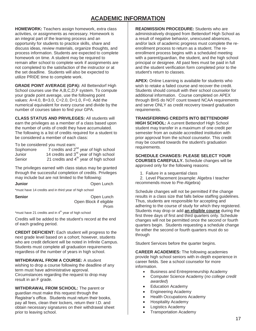## **ACADEMIC INFORMATION**

**HOMEWORK:** Teachers assign homework, extra class activities, or assignments as necessary. Homework is an integral part of the learning process and an opportunity for students to practice skills, share and discuss ideas, review materials, organize thoughts, and process information. Students are expected to complete homework on time. A student may be required to remain after school to complete work if assignments are not completed to the satisfaction of the instructor or at the set deadline. Students will also be expected to utilize PRIDE time to complete work.

**GRADE POINT AVERAGE (GPA):** All Bettendorf High School courses use the A,B,C,D,F system. To compute your grade point average, use the following point values: A=4.0, B=3.0, C=2.0, D=1.0, F=0. Add the numerical equivalent for every course and divide by the number of courses taken to find your GPA.

**CLASS STATUS AND PRIVILEGES:** All students will earn the privileges as a member of a class based upon the number of units of credit they have accumulated. The following is a list of credits required for a student to be considered a member of each class:

To be considered you must earn:

| Sophomore | 7 credits and $2^{nd}$ year of high school  |
|-----------|---------------------------------------------|
| Junior    | 14 credits and $3^{rd}$ year of high school |
| Senior    | 21 credits and $4th$ year of high school    |

The privileges earned with class status may be granted through the successful completion of credits. Privileges may include but are not limited to the following:

**Junior Open Lunch** 

\*must have 14 credits and in third year of high school

**Senior Company** Open Lunch Open Block if eligible **Promotion of the Contract of Contract Service Service Service Service Service Service Service Service Service** 

\*must have 21 credits and in  $4<sup>th</sup>$  year of high school

Credits will be added to the student's record at the end of each grading period.

**CREDIT DEFICIENT:** Each student will progress to the next grade level based on a cohort; however, students who are credit deficient will be noted in Infinite Campus. Students must complete all graduation requirements regardless of the number of years in high school.

**WITHDRAWAL FROM A COURSE:** A student wishing to drop a course following the deadline of any term must have administrative approval. Circumstances regarding the request to drop may result in an F grade.

**WITHDRAWAL FROM SCHOOL:** The parent or guardian must make this request through the Registrar's office. Students must return their books, pay all fees, clean their lockers, return their I.D. and obtain necessary signatures on their withdrawal sheet prior to leaving school.

**READMISSION PROCEDURE:** Students who are administratively dropped from Bettendorf High School as a result of negative behavior, unexcused absences, and/or lack of academic progress must complete the reenrollment process to return as a student. The reenrollment process begins with a scheduled meeting with a parent/guardian, the student, and the high school principal or designee. All past fees must be paid in full and the student verification form completed prior to the student's return to classes.

**APEX:** Online Learning is available for students who wish to retake a failed course and recover the credit. Students should consult with their school counselor for additional information. Course completed on APEX through BHS do NOT count toward NCAA requirements and serve ONLY as credit recovery toward graduation requirements.

## **TRANSFERRING CREDITS INTO BETTENDORF**

**HIGH SCHOOL:** A current Bettendorf High School student may transfer in a maximum of one credit per semester from an outside accredited institution with prior approval from the school counselor. This credit may be counted towards the student's graduation requirements.

**SCHEDULE CHANGES: PLEASE SELECT YOUR COURSES CAREFULLY.** Schedule changes will be approved only for the following reasons:

1. Failure in a sequential class

 2. Level Placement (example: Algebra I teacher recommends move to Pre-Algebra)

Schedule changes will not be permitted if the change results in a class size that falls below staffing guidelines. Thus, students are responsible for accepting and adhering to the course of study for which they registered. Students may drop or add **an eligible course** during the first three days of first and third quarters only. Schedule changes will not be permitted once the second or fourth quarters begin. Students requesting a schedule change for either the second or fourth quarters must do so through

Student Services before the quarter begins.

**CAREER ACADEMIES:** The following academies provide high school seniors with in-depth experience in career fields. See a school counselor for more information.

- **•** Business and Entrepreneurship Academy
- Computer Science Academy (*no college credit awarded*)
- Education Academy
- Engineering Academy
- Health Occupations Academy
- **•** Hospitality Academy
- Logistics Academy
- Transportation Academy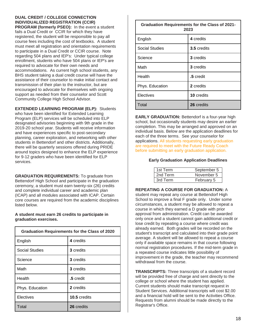## **DUAL CREDIT / COLLEGE CONNECTION INDIVIDUALIZED REGISTRATION (CCIR)**

**PROGRAM (formerly PSEO):** In the event a student fails a Dual Credit or CCIR for which they have registered, the student will be responsible to pay all course fees including the cost of textbooks. A student must meet all registration and orientation requirements to participate in a Dual Credit or CCIR course. Note regarding 504 plans and IEP's: Under typical college enrollment, students who have 504 plans or IEP's are required to advocate for their own needs and accommodations. As current high school students, any BHS student taking a dual credit course will have the assistance of their counselor to make initial contact and transmission of their plan to the instructor, but are encouraged to advocate for themselves with ongoing support as needed from their counselor and Scott Community College High School Advisor.

**EXTENDED LEARNING PROGRAM (ELP):** Students who have been identified for Extended Learning Program (ELP) services will be scheduled into ELP designated advisories beginning with 9th grade in the 2019-20 school year. Students will receive information and have experiences specific to post-secondary planning, career exploration, and networking with other students in Bettendorf and other districts. Additionally, there will be quarterly sessions offered during PRIDE around topics designed to enhance the ELP experience for 9-12 graders who have been identified for ELP services.

**GRADUATION REQUIREMENTS:** To graduate from Bettendorf High School and participate in the graduation ceremony, a student must earn twenty-six (26) credits and complete individual career and academic plan (ICAP) and all modules associated with ICAP. Certain core courses are required from the academic disciplines listed below.

### **A student must earn 26 credits to participate in graduation exercises.**

| <b>Graduation Requirements for the Class of 2020</b> |              |  |
|------------------------------------------------------|--------------|--|
| English                                              | 4 credits    |  |
| <b>Social Studies</b>                                | 3 credits    |  |
| Science                                              | 3 credits    |  |
| Math                                                 | 3 credits    |  |
| Health                                               | .5 credit    |  |
| Phys. Education                                      | 2 credits    |  |
| Electives                                            | 10.5 credits |  |
| Total                                                | 26 credits   |  |

| <b>Graduation Requirements for the Class of 2021-</b><br>2023 |                   |  |
|---------------------------------------------------------------|-------------------|--|
| English                                                       | 4 credits         |  |
| <b>Social Studies</b>                                         | 3.5 credits       |  |
| Science                                                       | 3 credits         |  |
| Math                                                          | 3 credits         |  |
| Health                                                        | .5 credit         |  |
| Phys. Education                                               | 2 credits         |  |
| Electives                                                     | <b>10</b> credits |  |
| Total                                                         | 26 credits        |  |

**EARLY GRADUATION:** Bettendorf is a four-year high school, but occasionally students may desire an earlier completion. This may be arranged and approved on an individual basis. Below are the application deadlines for each of the three terms. See your counselor for applications. All students requesting early graduation are required to meet with the Future Ready Coach before submitting an early graduation application.

#### **Early Graduation Application Deadlines**

| 1st Term | September 5 |
|----------|-------------|
| 2nd Term | November 5  |
| 3rd Term | February 5  |

#### **REPEATING A COURSE FOR GRADUATION:** A

student may repeat any course at Bettendorf High School to improve a final F grade only. Under some circumstances, a student may be allowed to repeat a course in which they earned a D grade with prior approval from administration. Credit can be awarded only once and a student cannot gain additional credit or lose credit by repeating a course where credit was already earned. Both grades will be recorded on the student's transcript and calculated into their grade point average. A student will be allowed to repeat a course only if available space remains in that course following normal registration procedures. If the mid-term grade in a repeated course indicates little possibility of improvement in the grade, the teacher may recommend withdrawal from the course.

**TRANSCRIPTS:** Three transcripts of a student record will be provided free of charge and sent directly to the college or school where the student has applied. Current students should make transcript request in Student Services. Additional transcripts will cost \$2.00 and a financial hold will be sent to the Activities Office. Requests from alumni should be made directly to the Registrar's Office.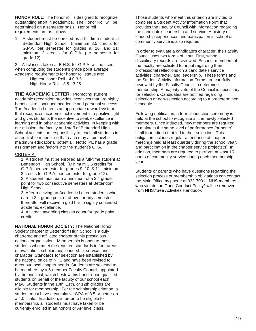**HONOR ROLL:** The honor roll is designed to recognize outstanding effort in academics. The Honor Roll will be determined on a semester basis. Honor roll requirements are as follows:

1. A student must be enrolled as a full time student at Bettendorf High School. (minimum 3.5 credits for G.P.A. per semester for grades 9, 10, and 11; minimum 3 credits for G.P.A. per semester for grade 12).

2. All classes taken at B.H.S. for G.P.A. will be used when computing the student's grade point average. Academic requirements for honor roll status are:

> Highest Honor Roll - 4.0 3.5 High Honor Roll - 3.5 - 3.25

**THE ACADEMIC LETTER:** Promoting student academic recognition provides incentives that are highly beneficial to continued academic and personal success. The Academic Letter is an appropriate reward system that recognizes academic achievement in a positive light and gives students the incentive to seek excellence in learning and in other academic activities. In keeping with our mission, the faculty and staff of Bettendorf High School accepts the responsibility to teach all students in an equitable manner so that each may attain his/her maximum educational potential. Note: PE has a grade assignment and factors into the student's GPA.

#### CRITERIA:

1. A student must be enrolled as a full-time student at Bettendorf High School. (Minimum 3.5 credits for G.P.A. per semester for grades 9, 10, & 11; minimum 3 credits for G.P.A. per semester for grade 12). 2. A student must earn a minimum of a 3.4 grade point for two consecutive semesters at Bettendorf High School.

3. After receiving an Academic Letter, students who earn a 3.4 grade point or above for any semester thereafter will receive a gold bar to signify continued academic excellence.

4. All credit awarding classes count for grade point credit.

**NATIONAL HONOR SOCIETY:** The National Honor Society chapter of Bettendorf High School is a duly chartered and affiliated chapter of this prestigious national organization. Membership is open to those students who meet the required standards in four areas of evaluation: scholarship, leadership, service, and character. Standards for selection are established by the national office of NHS and have been revised to meet our local chapter needs. Students are selected to be members by a 5-member Faculty Council, appointed by the principal, which bestow this honor upon qualified students on behalf of the faculty of our school each May. Students in the 10th, 11th, or 12th grades are eligible for membership. For the scholarship criterion, a student must have a cumulative GPA of 3.5 or better on a 4.0 scale. In addition, in order to be eligible for membership, all students must have taken or be currently enrolled in an honors or AP level class.

Those students who meet this criterion are invited to complete a Student Activity Information Form that provides the Faculty Council with information regarding the candidate's leadership and service. A history of leadership experiences and participation in school or community service is also required.

In order to evaluate a candidate's character, the Faculty Council uses two forms of input. First, school disciplinary records are reviewed. Second, members of the faculty are solicited for input regarding their professional reflections on a candidate's service activities, character, and leadership. These forms and the Student Activity Information Forms are carefully reviewed by the Faculty Council to determine membership. A majority vote of the Council is necessary for selection. Candidates are notified regarding selection or non-selection according to a predetermined schedule.

Following notification, a formal induction ceremony is held at the school to recognize all the newly selected members. Once inducted, new members are required to maintain the same level of performance (or better) in all four criteria that led to their selection. This obligation includes regular attendance at chapter meetings held at least quarterly during the school year, and participation in the chapter service projects(s). In addition, members are required to perform at least 15 hours of community service during each membership year.

Students or parents who have questions regarding the selection process or membership obligations can contact the Main Office by phone at 332-7001. NHS members who violate the Good Conduct Policy\* will be removed from NHS.\*See Activities Handbook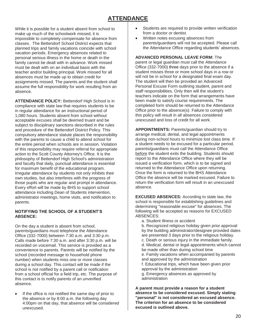## **ATTENDANCE**

While it is possible for a student absent from school to make up much of the schoolwork missed, it is impossible to completely compensate for absence from classes. The Bettendorf School District expects that planned trips and family vacations coincide with school vacation periods. Emergency absences related to personal serious illness in the home or death in the family cannot be dealt with in advance. Work missed must be dealt with on an individual basis with the teacher and/or building principal. Work missed for all absences must be made up to obtain credit for assignments missed. The parents and the student shall assume the full responsibility for work resulting from an absence.

**ATTENDANCE POLICY:** Bettendorf High School is in compliance with state law that requires students to be in regular attendance for an instructional period of 1,080 hours. Students absent from school without acceptable excuses shall be deemed truant and be subject to disciplinary sanctions described in the rules and procedure of the Bettendorf District Policy. This compulsory attendance statute places the responsibility with the parents to cause a child to attend school for the entire period when schools are in session. Violation of this responsibility may require referral for appropriate action to the Scott County Attorney's Office. It is the philosophy of Bettendorf High School's administration and faculty that daily, punctual attendance is essential for maximum benefit of the educational program. Irregular attendance by students not only inhibits their own studies, but also interferes with the progress of those pupils who are regular and prompt in attendance. Every effort will be made by BHS to support school attendance including Dean of Students intervention, administrator meetings, home visits, and notification to parents.

## **NOTIFYING THE SCHOOL OF A STUDENT'S ABSENCE:**

On the day a student is absent from school, parents/guardians must telephone the Attendance Office (332-7000) between 7:30 a.m. and 3:30 p.m. Calls made before 7:30 a.m. and after 3:30 p.m. will be recorded on voicemail. This service is provided as a convenience to parents. Parents will be notified by the school (recorded message to household phone number) when students miss one or more classes during a school day. This contact will be made if the school is not notified by a parent call or notification from a school official for a field trip, etc. The purpose of this contact is to notify parents of an unverified absence.

• If the office is not notified the same day of prior to the absence or by 8:00 a.m. the following day 4:00pm on that day, that absence will be considered unexcused.

- Students are required to provide written verification from a doctor or dentist.
- Written notes excusing absences from parents/guardians will not be accepted. Please call the Attendance Office regarding students' absences.

## **ADVANCED PERSONAL LEAVE FORM:** The

parent or legal guardian must call the Attendance Office (332-7000) three days prior to the absence if a student misses three or more school days in a row or will not be in school for a designated final exam day. The student will then be provided an Advanced Personal Excuse Form outlining student, parent and staff responsibilities. Only then will the student's teachers indicate on the form that arrangements have been made to satisfy course requirements. The completed form should be returned to the Attendance Office prior to the absence(s). Failure to comply with this policy will result in all absences considered unexcused and loss of credit for all work.

**APPOINTMENTS:** Parents/guardian should try to arrange medical, dental, and legal appointments during non-school hours to minimize lost class time. If a student needs to be excused for a particular period, parents/guardians must call the Attendance Office before the student exits the building. Students should report to the Attendance Office where they will be issued a verification form, which is to be signed and returned to the Attendance Office upon returning. Once the form is returned to the BHS Attendance Office the absence will be marked excused. Failure to return the verification form will result in an unexcused absence.

**EXCUSED ABSENCES:** According to state law, the school is responsible for establishing guidelines and determining "reasonable excuse" for absences. The following will be accepted as reasons for EXCUSED ABSENCES:

a. Student illness or accident

b. Recognized religious holiday given prior approval by the building administrator/designee provided dates are presented 3 days prior to the religious holiday. c. Death or serious injury in the immediate family. d. Medical, dental or legal appointments which cannot be made other than during school time e. Family vacations when accompanied by parents and approved by the administration f. Educational trips, which have been given prior approval by the administration g. Emergency absences as approved by administration

**A parent must provide a reason for a student absence to be considered excused. Simply stating "personal" is not considered an excused absence. The criterion for an absence to be considered excused is outlined above.**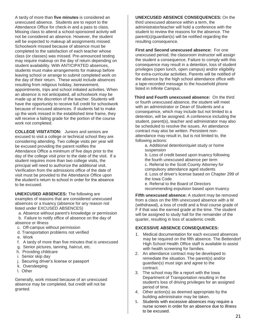A tardy of more than **five minutes** is considered an unexcused absence. Students are to report to the Attendance Office for check-in and a pass to class. Missing class to attend a school-sponsored activity will not be considered an absence. However, the student will be expected to makeup all assignments missed. Schoolwork missed because of absence must be completed to the satisfaction of each teacher whose class (or classes) was missed. Pre-announced testing may require makeup on the day of return depending on student availability. With ANTICIPATED absences, students must make arrangements for makeup before leaving school or arrange to submit completed work on the day of their return. These would include absences resulting from religious holiday, bereavement, appointments, trips and school initiated activities. When an absence is not anticipated, all schoolwork may be made up at the discretion of the teacher. Students will have the opportunity to receive full credit for schoolwork because of excused absences. If students fail to make up the work missed in the established time frame, they will receive a failing grade for the portion of the course work not completed.

**COLLEGE VISITATION:** Juniors and seniors are excused to visit a college or technical school they are considering attending. Two college visits per year will be excused providing the parent notifies the Attendance Office a minimum of five days prior to the day of the college visit prior to the date of the visit. If a student requires more than two college visits, the principal will need to authorize the additional visit. Verification from the admissions office of the date of visit must be provided to the Attendance Office upon the student's return to school in order for the absence to be excused.

**UNEXCUSED ABSENCES:** The following are examples of reasons that are considered unexcused absences or a truancy (absence for any reason not listed under EXCUSED ABSENCES)

 a. Absence without parent's knowledge or permission b. Failure to notify office of absence on the day of

- absence or illness c. Off-campus without permission
- d. Transportation problems not verified
- e. Work
- f. A tardy of more than five minutes that is unexcused
- g. Senior pictures, tanning, haircut, etc.
- h. Providing childcare
- i. Senior skip day
- j. Securing driver's license or passport
- k. Oversleeping
- l. Other

Generally, work missed because of an unexcused absence may be completed, but credit will not be granted.

**UNEXCUSED ABSENCE CONSEQUENCES:** On the third unexcused absence within a term, the administrator/teacher will hold a conference with the student to review the reasons for the absence. The parent(s)/guardian(s) will be notified regarding the resulting consequence.

**First and Second unexcused absence:** For one unexcused period, the classroom instructor will assign the student a consequence. Failure to comply with this consequence may result in a detention, loss of student privileges (open lunch, open campus) and/or eligibility for extra-curricular activities. Parents will be notified of the absence by the high school attendance office with a tape-recorded message to the household phone listed in Infinite Campus.

**Third and Fourth unexcused absence:** On the third or fourth unexcused absence, the student will meet with an administrator or Dean of Students and a consequence, which may include but not limited to a detention, will be assigned. A conference including the student, parent(s), teacher and administrator may also be scheduled to resolve the issues. An attendance contract may also be written. Persistent nonattendance may result in, but is not limited to, the following actions:

a. Additional detention/quiet study or home suspension

b. Loss of credit based upon truancy following the fourth unexcused absence per term c. Referral to the Scott County Attorney for compulsory attendance aged students d. Loss of driver's license based on Chapter 299 of the Iowa Code

e. Referral to the Board of Directors recommending expulsion based upon truancy

**Fifth unexcused absence:** A student may be removed from a class on the fifth unexcused absence with a W (withdrawal), a loss of credit and a final course grade of F if that was the earned grade at the time. The student will be assigned to study hall for the remainder of the quarter, resulting in loss of academic credit.

## **EXCESSIVE ABSENCE CONSEQUENCES:**

- 1. Medical documentation for each excused absences may be required on the fifth absence. The Bettendorf High School Health Office staff is available to assist with health screening for families.
- 2. An attendance contract may be developed to remediate the situation. The parent(s) and/or guardian(s) must sign and agree to the contract.
- 3. The school may file a report with the Iowa Department of Transportation resulting in the student's loss of driving privileges for an assigned period of time.
- 4. Other action(s) as deemed appropriate by the building administrator may be taken.
- 5. Students with excessive absences may require a nurse screen in order for an absence due to illness to be excused.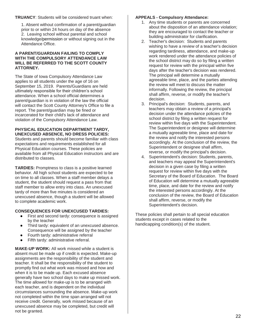### **TRUANCY**: Students will be considered truant when:

1. Absent without confirmation of a parent/guardian prior to or within 24 hours on day of the absence 2. Leaving school without parental and school knowledge/permission or without signing out in the Attendance Office.

#### **A PARENT/GUARDIAN FAILING TO COMPLY WITH THE COMPULSORY ATTENDANCE LAW WILL BE REFERRED TO THE SCOTT COUNTY ATTORNEY.**

The State of Iowa Compulsory Attendance Law applies to all students under the age of 16 on September 15, 2019. Parents/Guardians are held ultimately responsible for their children's school attendance. When a school official determines a parent/guardian is in violation of the law the official will contact the Scott County Attorney's Office to file a report. The parent/guardian may be fined or incarcerated for their child's lack of attendance and violation of the Compulsory Attendance Law.

#### **PHYSICAL EDUCATION DEPARTMENT TARDY, UNEXCUSED ABSENCE, NO DRESS POLICIES:**

Students and parents should become familiar with class expectations and requirements established for all Physical Education courses. These policies are available from all Physical Education instructors and are distributed to classes.

**TARDIES:** Promptness to class is a positive learned behavior. All high school students are expected to be on time to all classes. When a staff member delays a student, the student should request a pass from that staff member to allow entry into class. An unexcused tardy of more than five minutes is considered an unexcused absence, though a student will be allowed to complete academic work.

## **CONSEQUENCES FOR UNEXCUSED TARDIES:**

- First and second tardy: consequence is assigned by the teacher
- Third tardy: equivalent of an unexcused absence. Consequence will be assigned by the teacher
- Fourth tardy: administrative referral
- Fifth tardy: administrative referral.

**MAKE-UP WORK:** All work missed while a student is absent must be made up if credit is expected. Make-up assignments are the responsibility of the student and teacher. It shall be the responsibility of the student to promptly find out what work was missed and how and when it is to be made up. Each excused absence generally have two school days to make up missed work. The time allowed for make-up is to be arranged with each teacher, and is dependent on the individual circumstances surrounding the absence. Make-up work not completed within the time span arranged will not receive credit. Generally, work missed because of an unexcused absence may be completed, but credit will not be granted.

## **APPEALS - Compulsory Attendance:**

- 1. Any time students or parents are concerned about the disposition of an attendance violation; they are encouraged to contact the teacher or building administrator for clarification.
- 2. Teacher's decision: Students and parents wishing to have a review of a teacher's decision regarding tardiness, attendance, and make-up work rendered under the attendance policies of the school district may do so by filing a written request for review with the principal within five days after the teacher's decision was rendered. The principal will determine a mutually agreeable time, place, and the parties attending the review will meet to discuss the matter informally. Following the review, the principal shall affirm, reverse, or modify the teacher's decision.
- 3. Principal's decision: Students, parents, and teachers may obtain a review of a principal's decision under the attendance policies of the school district by filing a written request for review within five days with the Superintendent. The Superintendent or designee will determine a mutually agreeable time, place and date for the review and notify the interested persons accordingly. At the conclusion of the review, the Superintendent or designee shall affirm, reverse, or modify the principal's decision.
- 4. Superintendent's decision: Students, parents, and teachers may appeal the Superintendent's decision in a given case by filing a written request for review within five days with the Secretary of the Board of Education. The Board of Education will determine a mutually agreeable time, place, and date for the review and notify the interested persons accordingly. At the conclusion of the review, the Board of Education shall affirm, reverse, or modify the Superintendent's decision.

These policies shall pertain to all special education students except in cases related to the handicapping condition(s) of the student.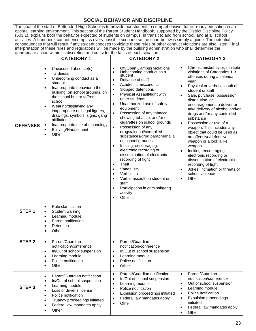## **SOCIAL BEHAVIOR AND DISCIPLINE**

The goal of the staff of Bettendorf High School is to provide our students a comprehensive, future-ready education in an optimal learning environment. This section of the Parent Student Handbook, supported by the District Discipline Policy (503.1), explains both the behavior expected of students on campus, in transit to and from school, and at all school activities. A handbook cannot encompass every possible scenario so the chart below is simply a guide. The potential consequences that will result if any student chooses to violate these rules or other conduct violations are also listed. Final interpretation of these rules and regulations will be made by the building administration who shall determine the appropriate action within its discretion and consider the facts of each situation.

|                   | <b>CATEGORY 1</b>                                                                                                                                                                                                                                                                                                                                                                                                                                                       | <b>CATEGORY 2</b>                                                                                                                                                                                                                                                                                                                                                                                                                                                                                                                                                                                                                                                                                                                                                                                               | <b>CATEGORY 3</b>                                                                                                                                                                                                                                                                                                                                                                                                                                                                                                                                                                                                                                                                                                        |
|-------------------|-------------------------------------------------------------------------------------------------------------------------------------------------------------------------------------------------------------------------------------------------------------------------------------------------------------------------------------------------------------------------------------------------------------------------------------------------------------------------|-----------------------------------------------------------------------------------------------------------------------------------------------------------------------------------------------------------------------------------------------------------------------------------------------------------------------------------------------------------------------------------------------------------------------------------------------------------------------------------------------------------------------------------------------------------------------------------------------------------------------------------------------------------------------------------------------------------------------------------------------------------------------------------------------------------------|--------------------------------------------------------------------------------------------------------------------------------------------------------------------------------------------------------------------------------------------------------------------------------------------------------------------------------------------------------------------------------------------------------------------------------------------------------------------------------------------------------------------------------------------------------------------------------------------------------------------------------------------------------------------------------------------------------------------------|
| <b>OFFENSES</b>   | Unexcused absence(s)<br>$\bullet$<br><b>Tardiness</b><br>$\bullet$<br>Unbecoming conduct as a<br>$\bullet$<br>student<br>Inappropriate behavior n the<br>$\bullet$<br>building, on school grounds, on<br>the school bus or to/from<br>school<br>Wearing/displaying any<br>$\bullet$<br>inappropriate or illegal figures,<br>drawings, symbols, signs, gang<br>affiliations<br>Inappropriate use of technology<br>$\bullet$<br>Bullying/Harassment<br>Other<br>$\bullet$ | Off/Open Campus violations<br>Unbecoming conduct as a<br>student<br>Defiance of staff<br>Academic misconduct<br>٠<br>Skipped detentions<br>$\bullet$<br>Physical Assault/fight with<br>$\bullet$<br>other students<br>Unauthorized use of safety<br>equipment<br>Possession of any tobacco,<br>$\bullet$<br>chewing tobacco, and/or e-<br>cigarettes on school grounds<br>Possession of any<br>drugs/alcohol/controlled<br>substances/drug paraphernalia<br>on school grounds<br>Inciting, encouraging,<br>$\bullet$<br>electronic recording or<br>dissemination of electronic<br>recording of fight<br><b>Theft</b><br>$\bullet$<br>Vandalism<br>$\bullet$<br>Verbalism<br>$\bullet$<br>Verbal assault on student or<br>$\bullet$<br>staff<br>Participation in criminal/gang<br>activity<br>Other<br>$\bullet$ | Chronic misbehavior: multiple<br>$\bullet$<br>violations of Categories 1-3<br>offenses during a calendar<br>year<br>Physical or verbal assault of<br>$\bullet$<br>student or staff<br>Sale, purchase, possession,<br>distribution, or<br>encouragement to deliver or<br>take delivery of alcohol and/or<br>drugs and/or any controlled<br>substance<br>Possession or use of a<br>$\bullet$<br>weapon. This includes any<br>object that could be used as<br>an offensive/defensive<br>weapon or a look alike<br>weapon<br>Inciting, encouraging,<br>$\bullet$<br>electronic recording or<br>dissemination of electronic<br>recording of fight<br>Jokes, intimation or threats of<br>school violence<br>Other<br>$\bullet$ |
| STEP <sub>1</sub> | Rule clarification<br>$\bullet$<br>Student warning<br>$\bullet$<br>Learning module<br>$\bullet$<br>Parent notification<br>$\bullet$<br>Detention<br>$\bullet$<br>Other                                                                                                                                                                                                                                                                                                  |                                                                                                                                                                                                                                                                                                                                                                                                                                                                                                                                                                                                                                                                                                                                                                                                                 |                                                                                                                                                                                                                                                                                                                                                                                                                                                                                                                                                                                                                                                                                                                          |
| STEP <sub>2</sub> | Parent/Guardian<br>notification/conference<br>In/Out of school suspension<br>$\bullet$<br>Learning module<br>$\bullet$<br>Police notification<br>$\bullet$<br>Other<br>$\bullet$                                                                                                                                                                                                                                                                                        | Parent/Guardian<br>notification/conference<br>In/Out of school suspension<br>$\bullet$<br>Learning module<br>$\bullet$<br>Police notification<br>$\bullet$<br>Other<br>$\bullet$                                                                                                                                                                                                                                                                                                                                                                                                                                                                                                                                                                                                                                |                                                                                                                                                                                                                                                                                                                                                                                                                                                                                                                                                                                                                                                                                                                          |
| STEP <sub>3</sub> | Parent/Guardian notification<br>$\bullet$<br>In/Out of school suspension<br>$\bullet$<br>Learning module<br>٠<br>Loss of driver's license<br>$\bullet$<br>Police notification<br>$\bullet$<br>Truancy proceedings initiated<br>Federal law mandates apply<br>Other<br>٠                                                                                                                                                                                                 | Parent/Guardian notification<br>$\bullet$<br>In/Out of school suspension<br>$\bullet$<br>Learning module<br>$\bullet$<br>Police notification<br>$\bullet$<br>Expulsion proceedings initiated<br>٠<br>Federal law mandates apply<br>Other<br>$\bullet$                                                                                                                                                                                                                                                                                                                                                                                                                                                                                                                                                           | Parent/Guardian<br>$\bullet$<br>notification/conference<br>Out of school suspension<br>$\bullet$<br>Learning module<br>$\bullet$<br>Police notification<br>$\bullet$<br>Expulsion proceedings<br>initiated<br>Federal law mandates apply<br>$\bullet$<br>Other<br>$\bullet$                                                                                                                                                                                                                                                                                                                                                                                                                                              |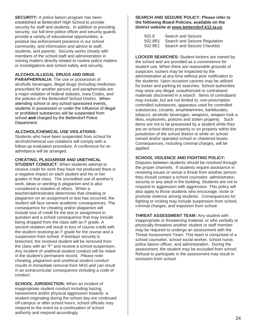**SECURITY:** A police liaison program has been established at Bettendorf High School to provide security for staff and students. In addition to providing security, our full-time police officer and security guards provide a variety of educational opportunities, a positive law enforcement presence in our school community, and information and advice to staff, students, and parents. Security works closely with members of the school staff and administration in solving matters directly related to routine police matters or investigations and school safety and security.

## **ALCOHOL/ILLEGAL DRUGS AND DRUG**

**PARAPHERNALIA:** The use or possession of alcoholic beverages, illegal drugs (including medicines prescribed for another person) and paraphernalia are a major violation of federal statutes, Iowa Codes, and the policies of the Bettendorf School District. When attending school or any school sponsored events, students in possession or under the influence of illegal or prohibited substances will be suspended from school **and** charged by the Bettendorf Police Department.

## **ALCOHOL/CHEMICAL USE VIOLATIONS:**

Students who have been suspended from school for alcohol/chemical use violations will comply with a follow-up evaluation procedure. A conference for readmittance will be arranged.

## **CHEATING, PLAGIARISM AND UNETHICAL**

**STUDENT CONDUCT:** When students attempt to receive credit for work they have not produced there is a negative impact on each student and his or her grades in that class. The uncredited use of another's work, ideas or wording is plagiarism and is also considered a violation of ethics. When a teacher/administrator determines that cheating or plagiarism on an assignment or test has occurred, the student will face severe academic consequences. The consequence for cheating and/or plagiarism will include loss of credit for the test or assignment in question and a school consequence that may include being dropped from the class with an F grade. A second violation will result in loss of course credit with the student receiving an F grade for the course and a suspension from school. If test/quiz security is breeched, the involved student will be removed from the class with an "F" and receive a school suspension. Any incident of unethical student conduct will be noted in the student's permanent record. *Please note: cheating, plagiarism and unethical student conduct results in immediate removal from NHS and can result in an extracurricular consequence including a code of conduct.*

**SCHOOL JURISDICTION:** When an incident of inappropriate student conduct including hazing, harassment and/or physical aggression towards a student originating during the school day are continued off-campus or after school hours, school officials may respond to the event as a continuation of school authority and respond accordingly.

#### **SEARCH AND SEIZURE POLICY: Please refer to the following Board Policies, available on the district website at [www.bettendorf.k12.ia.us](http://www.bettendorf.k12.ia.us/)**

| 502.8   | Search and Seizure            |
|---------|-------------------------------|
| 502.8R1 | Search and Seizure Regulation |
| 502.8E1 | Search and Seizure Checklist  |

**LOCKER SEARCHES:** Student lockers are owned by the school and are provided as a convenience for student use. When there are reasonable grounds of suspicion, lockers may be inspected by the administration at any time without prior notification to the students. Upon occasion canines may be utilized for locker and parking lot searches. School authorities may seize any illegal, unauthorized or contraband materials discovered in a search. Items of contraband may include, but are not limited to, non-prescription controlled substances, apparatus used for controlled substances, cocaine, amphetamines, barbiturates, tobacco, alcoholic beverages, weapons, weapon look a likes, explosives, poisons and stolen property. Such items are not to be possessed by a student while they are on school district property or on property within the jurisdiction of the school district or while on school owned and/or operated school or chartered buses. Consequences, including criminal charges, will be applied.

## **SCHOOL VIOLENCE AND FIGHTING POLICY:**

Disputes between students should be resolved through the proper channels. If students require assistance in resolving issues or sense a threat from another person they should contact a school counselor, administrator, security or any adult in the building. Students are not to respond to aggression with aggression. This policy will also apply to those students who encourage, incite or promote violence among students. Consequences for fighting or inciting may include suspension from school, criminal charges, and expulsion from school.

**THREAT ASSESSMENT TEAM:** Any student with inappropriate or threatening material, or who verbally or physically threatens another student or staff member may be required to undergo an assessment with the Threat Assessment Team. This team is comprised of a school counselor, school social worker, school nurse, police liaison officer, and administration. During the assessment, the student may be excluded from school. Refusal to participate in the assessment may result in exclusion from school.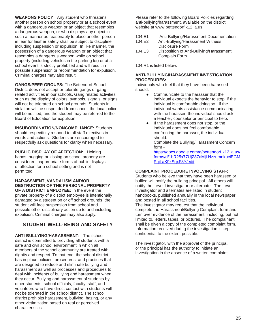**WEAPONS POLICY:** Any student who threatens another person on school property or at a school event with a dangerous weapon or an object that resembles a dangerous weapon, or who displays any object in such a manner as reasonably to place another person in fear for his/her safety shall be subject to discipline, including suspension or expulsion. In like manner, the possession of a dangerous weapon or an object that resembles a dangerous weapon while on school property (including vehicles in the parking lot) or at a school event is strictly prohibited and will result in possible suspension or recommendation for expulsion. Criminal charges may also result

**GANGS/PEER GROUPS:** The Bettendorf School District does not accept or tolerate gangs or gang related activities in our schools. Gang related activities such as the display of colors, symbols, signals, or signs will not be tolerated on school grounds. Students in violation will be suspended from school, the local police will be notified, and the student may be referred to the Board of Education for expulsion.

**INSUBORDINATION/NONCOMPLIANCE:** Students should respectfully respond to all staff directives in words and actions. Students are encouraged to respectfully ask questions for clarity when necessary.

**PUBLIC DISPLAY OF AFFECTION:** Holding hands, hugging or kissing on school property are considered inappropriate forms of public displays of affection for a school setting and is not permitted.

#### **HARASSMENT, VANDALISM AND/OR DESTRUCTION OF THE PERSONAL PROPERTY OF A DISTRICT EMPLOYEE:** In the event the

private property of a district employee is intentionally damaged by a student on or off school grounds, the student will face suspension from school and possible other disciplinary action up to and including expulsion. Criminal charges may also apply.

## **STUDENT WELL-BEING AND SAFETY**

**ANTI-BULLYING/HARASSMENT:** The school district is committed to providing all students with a safe and civil school environment in which all members of the school community are treated with dignity and respect. To that end, the school district has in place policies, procedures, and practices that are designed to reduce and eliminate bullying and harassment as well as processes and procedures to deal with incidents of bullying and harassment when they occur. Bullying and harassment of students by other students, school officials, faculty, staff, and volunteers who have direct contact with students will not be tolerated in the school district. The school district prohibits harassment, bullying, hazing, or any other victimization based on real or perceived characteristics.

Please refer to the following Board Policies regarding anti-bullying/harassment, available on the district website at [www.bettendorf.k12.ia.us](http://www.bettendorf.k12.ia.us/)

- 104.E1 Anti-Bullying/Harassment Documentation<br>104.E2 Anti-Bullying/Harassment Witness
- Anti-Bullying/Harassment Witness Disclosure Form
- 104.E3 Disposition of Anti-Bullying/Harassment Complain Form

104.R1 is listed below:

## **ANTI-BULLYING/HARASSMENT INVESTIGATION PROCEDURES:**

Individuals who feel that they have been harassed should:

- Communicate to the harasser that the individual expects the behavior to stop, if the individual is comfortable doing so. If the individual wants assistance communicating with the harasser, the individual should ask a teacher, counselor or principal to help.
- If the harassment does not stop, or the individual does not feel comfortable confronting the harasser, the individual should:

Complete the Bullying/Harassment Concern form -

[https://docs.google.com/a/bettendorf.k12.ia.us/](https://docs.google.com/a/bettendorf.k12.ia.us/forms/d/1bR25x77UjZ87aMjLNzzumnkuciEGMPgiLaK9kSqxF8Y/edit) [forms/d/1bR25x77UjZ87aMjLNzzumnkuciEGM](https://docs.google.com/a/bettendorf.k12.ia.us/forms/d/1bR25x77UjZ87aMjLNzzumnkuciEGMPgiLaK9kSqxF8Y/edit) [PgiLaK9kSqxF8Y/edit](https://docs.google.com/a/bettendorf.k12.ia.us/forms/d/1bR25x77UjZ87aMjLNzzumnkuciEGMPgiLaK9kSqxF8Y/edit)

## **COMPLAINT PROCEDURE INVOLVING STAFF:**

Students who believe that they have been harassed or bullied will notify the building principal. All others will notify the Level I investigator or alternate. The Level I investigator and alternates are listed in student handbooks, published annually in the local newspaper, and posted in all school facilities.

The investigator may request that the individual complete the Harassment/Bullying Complaint form and turn over evidence of the harassment, including, but not limited to, letters, tapes, or pictures. The complainant shall be given a copy of the completed complaint form. Information received during the investigation is kept confidential to the extent possible.

The investigator, with the approval of the principal, or the principal has the authority to initiate an investigation in the absence of a written complaint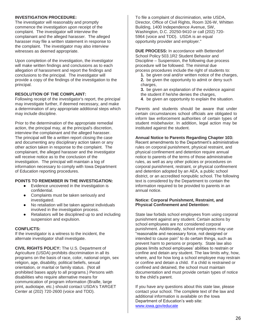#### **INVESTIGATION PROCEDURE:**

The investigator will reasonably and promptly commence the investigation upon receipt of the complaint. The investigator will interview the complainant and the alleged harasser. The alleged harasser may file a written statement in response to the complaint. The investigator may also interview witnesses as deemed appropriate.

Upon completion of the investigation, the investigator will make written findings and conclusions as to each allegation of harassment and report the findings and conclusions to the principal. The investigator will provide a copy of the findings of the investigation to the principal.

## **RESOLUTION OF THE COMPLAINT:**

Following receipt of the investigator's report, the principal may investigate further, if deemed necessary, and make a determination of any appropriate additional steps which may include discipline.

Prior to the determination of the appropriate remedial action, the principal may, at the principal's discretion, interview the complainant and the alleged harasser. The principal will file a written report closing the case and documenting any disciplinary action taken or any other action taken in response to the complaint. The complainant, the alleged harasser and the investigator will receive notice as to the conclusion of the investigation. The principal will maintain a log of information necessary to comply with Iowa Department of Education reporting procedures.

#### **POINTS TO REMEMBER IN THE INVESTIGATION:**

- Evidence uncovered in the investigation is confidential.
- Complaints must be taken seriously and investigated.
- No retaliation will be taken against individuals involved in the investigation process.
- Retaliators will be disciplined up to and including suspension and expulsion.

#### **CONFLICTS:**

If the investigator is a witness to the incident, the alternate investigator shall investigate.

**CIVIL RIGHTS POLICY:** The U.S. Department of Agriculture (USDA) prohibits discrimination in all its programs on the basis of race, color, national origin, sex religion, age, disability, political beliefs, sexual orientation, or marital or family status. (Not all prohibited bases apply to all programs.) Persons with disabilities who require alternative means for communication of program information (Braille, large print, audiotape, etc.) should contact USDA's TARGET Center at (202) 720-2600 (voice and TDD).

To file a complaint of discrimination, write USDA, Director, Office of Civil Rights, Room 326-W, Whitten Building, 1400 Independence Avenue, SW, Washington, D.C. 20250-9410 or call (202) 720- 5964 (voice and TDD). USDA is an equal opportunity provider and employer."

**DUE PROCESS:** In accordance with Bettendorf School Policy 503.1R2 Student Behavior and Discipline – Suspension, the following due process procedure will be followed. The minimal due process procedures include the right of students to:

- **1.** be given oral and/or written notice of the charges,
- **2.** be given the opportunity to admit or deny such charges.
- **3.** be given an explanation of the evidence against the student if he/she denies the charges,
- **4**. be given an opportunity to explain the situation.

Parents and students should be aware that under certain circumstances school officials are obligated to inform law enforcement authorities of certain types of student misbehavior. In addition, legal action may be instituted against the student.

### **Annual Notice to Parents Regarding Chapter 103:**

Recent amendments to the Department's administrative rules on corporal punishment, physical restraint, and physical confinement and detention require annual notice to parents of the terms of those administrative rules, as well as any other policies or procedures on corporal punishment, restraint, or physical confinement and detention adopted by an AEA, a public school district, or an accredited nonpublic school. The following text is considered by the Department to contain the information required to be provided to parents in an annual notice.

#### **Notice: Corporal Punishment, Restraint, and Physical Confinement and Detention:**

State law forbids school employees from using corporal punishment against any student. Certain actions by school employees are not considered corporal punishment. Additionally, school employees may use "reasonable and necessary force, not designed or intended to cause pain" to do certain things, such as prevent harm to persons or property. State law also places limits school employees' abilities to restrain or confine and detain any student. The law limits why, how, where, and for how long a school employee may restrain or confine and detain a child. If a child is restrained or confined and detained, the school must maintain documentation and must provide certain types of notice to the child's parent.

If you have any questions about this state law, please contact your school. The complete text of the law and additional information is available on the Iowa Department of Education's web site: www.iowa.gov/educate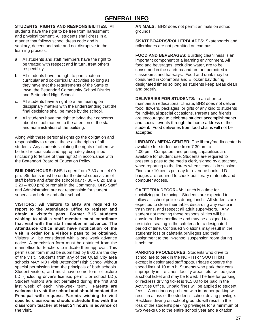## **GENERAL INFO**

### **STUDENTS' RIGHTS AND RESPONSIBILITIES:** All

students have the right to be free from harassment and physical torment. All students shall dress in a manner that follows school dress code and is sanitary, decent and safe and not disruptive to the learning process.

- a. All students and staff members have the right to be treated with respect and in turn, treat others respectfully.
- b. All students have the right to participate in curricular and co-curricular activities so long as they have met the requirements of the State of Iowa, the Bettendorf Community School District and Bettendorf High School.
- c. All students have a right to a fair hearing on disciplinary matters with the understanding that the final decisions shall be made by the school.
- d. All students have the right to bring their concerns about school matters to the attention of the staff and administration of the building.

Along with these personal rights go the obligation and responsibility to respect these as the rights of all students. Any students violating the rights of others will be held responsible and appropriately disciplined, (including forfeiture of their rights) in accordance with the Bettendorf Board of Education Policy.

**BUILDING HOURS:** BHS is open from 7:30 am – 4:00 pm. Students must be under the direct supervision of staff before and after the school day (7:30 – 8:20 am & 3:20 – 4:00 pm) or remain in the Commons. BHS Staff and Administration are not responsible for student supervision before and after school.

**VISITORS: All visitors to BHS are required to report to the Attendance Office to register and obtain a visitor's pass. Former BHS students wishing to visit a staff member must coordinate that visit with the staff member in advance. The Attendance Office must have notification of the visit in order for a visitor's pass to be obtained.**  Visitors will be considered with a one week advance notice. A permission form must be obtained from the main office for teachers to indicate their approval. This permission form must be submitted by 8:00 am the day of the visit. Students from any of the Quad City area schools MAY NOT visit Bettendorf High School without special permission from the principals of both schools. Student visitors, and must have some form of picture I.D. (including driver's license, permit, or school I.D.). Student visitors are not permitted during the first and last week of each nine-week term. **Parents are welcome to visit the school and should contact the Principal with request. Parents wishing to visit specific classrooms should schedule this with the classroom teacher at least 24 hours in advance of the visit.**

**ANIMALS:** BHS does not permit animals on school grounds.

**SKATEBOARDS/ROLLERBLADES:** Skateboards and rollerblades are not permitted on campus.

**FOOD AND BEVERAGES:** Building cleanliness is an important component of a learning environment. All food and beverages, excluding water, are to be consumed in the cafeteria and are not permitted in classrooms and hallways. Food and drink may be consumed in Commons and E locker bay during designated times so long as students keep areas clean and orderly.

**DELIVERIES FOR STUDENTS:** In an effort to maintain an educational climate, BHS does not deliver food, flowers, packages, or gifts of any kind to students for individual special occasions. Parents and friends are encouraged to celebrate student accomplishments and special events through the home address of the student. Food deliveries from food chains will not be accepted.

**LIBRARY / MEDIA CENTER:** The library/media center is available for student use from 7:30 am to 4:00 pm. Computers and printing capabilities are available for student use. Students are required to present a pass to the media clerk, signed by a teacher, when reporting to the library when school is in session. Fines are 10 cents per day for overdue books. I.D. badges are required to check out library materials and computer access.

**CAFETERIA DECORUM:** Lunch is a time for socializing and relaxing. Students are expected to follow all school policies during lunch. All students are expected to clean their table, discarding any waste in trash cans, and respect all adult supervisors. Any student not meeting these responsibilities will be considered insubordinate and may be assigned to restricted seating in the cafeteria for a designated period of time. Continued violations may result in the students' loss of cafeteria privileges and their assignment to the in-school suspension room during lunchtime.

**PARKING PROCEDURES:** Students who drive to school are to park in the NORTH or SOUTH lots, except in designated staff spots. Please observe the speed limit of 10 m.p.h. Students who park their cars improperly in fire lanes, faculty areas, etc. will be given a school ticket and may be towed. The fine for parking or reckless driving ticket is \$15.00 to be paid in the Activities Office. Unpaid fines will be applied to student fees. A continuous problem with improper parking will result in a loss of the student's school driving privilege. Reckless driving on school grounds will result in the loss of the student's parking privileges for a minimum of two weeks up to the entire school year and a citation.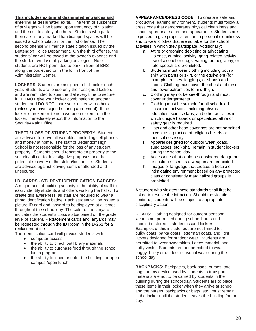## **This includes exiting at designated entrances and**

**entering at designated exits.** The term of suspension of privileges will be based upon frequency of violation and the risk to safety of others. Students who park their cars in any marked handicapped spaces will be issued a school citation for the first offense. The second offense will merit a state citation issued by the Bettendorf Police Department. On the third offense, the students' car will be towed at the owner's expense and the student will lose all parking privileges. Note: students are NOT permitted to park in front of BHS along the boulevard or in the lot in front of the Administration Center.

**LOCKERS:** Students are assigned a hall locker each year. Students are to use only their assigned lockers and are reminded to spin the dial every time to secure it. **DO NOT** give your locker combination to another student and **DO NOT** share your locker with others (unless you have signed sharing agreement). If the locker is broken or items have been stolen from the locker, immediately report this information to the Security/Main Office.

**THEFT / LOSS OF STUDENT PROPERTY:** Students are advised to leave all valuables, including cell phones and money at home. The staff of Bettendorf High School is not responsible for the loss of any student property. Students should report stolen property to the security officer for investigative purposes and the potential recovery of the stolen/lost article. Students are advised against leaving items unattended and unsecured.

#### **I.D. CARDS - STUDENT IDENTIFICATION BADGES:**

A major facet of building security is the ability of staff to easily identify students and others walking the halls. To create this awareness, all staff are required to wear a photo identification badge. Each student will be issued a picture ID card and lanyard to be displayed at all times throughout the school day. The color of the lanyard indicates the student's class status based on the grade level of student. Replacement cards and lanyards may be requested through the ID Room in the D-261 for a replacement fee.

The identification card will provide students with:

- computer access
- the ability to check out library materials
- the ability to purchase food through the school lunch program
- the ability to leave or enter the building for open campus /open lunch

**APPEARANCE/DRESS CODE:** To create a safe and productive learning environment, students must follow a dress code that demonstrates physical cleanliness and school-appropriate attire and appearance. Students are expected to give proper attention to personal cleanliness and to wear clothes that are suitable for the school activities in which they participate. Additionally:

- a. Attire or grooming depicting or advocating violence, criminal activity, gang-related activity, use of alcohol or drugs, vaping, pornography, or hate speech are prohibited.
- b. Students must wear clothing including both a shirt with pants or skirt, or the equivalent (for example dresses, leggings, or shorts) and shoes. Clothing must cover the chest and torso and lower extremities to mid-thigh.
- c. Clothing may not be see-through and must cover undergarments.
- d. Clothing must be suitable for all scheduled classroom activities including physical education, science labs, and other activities in which unique hazards or specialized attire or safety gear is required.
- e. Hats and other head coverings are not permitted except as a practice of religious beliefs or medical necessity.
- f. Apparel designed for outdoor wear (coats, sunglasses, etc.) shall remain in student lockers during the school day.
- g. Accessories that could be considered dangerous or could be used as a weapon are prohibited.
- h. Images or language that creates a hostile or intimidating environment based on any protected class or consistently marginalized groups is prohibited.

A student who violates these standards shall first be asked to resolve the infraction. Should the violation continue, students will be subject to appropriate disciplinary action.

**COATS:** Clothing designed for outdoor seasonal wear is not permitted during school hours and should be stored in student issued lockers. Examples of this include, but are not limited to, bulky coats, parka coats, letterman coats, and light jackets designed for outdoor wear. Students are permitted to wear sweatshirts, fleece material, and puffy vests. Students are not permitted to wear baggy, bulky or outdoor seasonal wear during the school day.

**BACKPACKS:** Backpacks, book bags, purses, tote bags or any device used by students to transport materials are not to be carried by students in the building during the school day. Students are to place these items in their locker when they arrive at school, and the purses, backpacks or bags, etc., must remain in the locker until the student leaves the building for the day.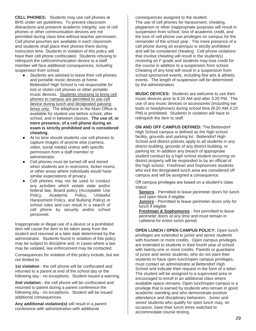**CELL PHONES:** Students may use cell phones at BHS under set guidelines. To prevent classroom distractions and preserve academic integrity, use of cell phones or other communication devices are not permitted during class time without teacher permission. Cell phone pouches are available in each classroom and students shall place their phones there during instruction time. Students in violation of this policy will have their cell phone confiscated. Students refusing to relinquish the cell/communication device to a staff member will face additional consequences, including suspension from school.

- Students are advised to leave their cell phones and portable music devices at home. Bettendorf High School is not responsible for lost or stolen cell phones or other portable music devices. Students choosing to bring cell phones to campus are permitted to use cell device during lunch and designated passing times only. The telephone in the Main Office is available for student use before school, after school, and in between classes. **The use of, or mere presence, of a cell phone during an exam is strictly prohibited and is considered cheating.**
- At no time should students use cell phones to capture images of anyone else (camera, video, social media) unless with specific permission from a staff member or administrator.
- Cell phones must be turned off and stored when students are in restrooms, locker rooms, or other areas where individuals would have similar expectations of privacy.
- Cell phones may not be used to conduct any activities which violate state and/or federal law, Board policy (Acceptable Use Policy, Academic Policy, Unlawful Harassment Policy, and Bullying Policy) or school rules and can result in a search of cell phone by security and/or school personnel.

Inappropriate or illegal use of a device or a prohibited item will cause the item to be taken away from the student and returned at a later date determined by the administrator. Students found in violation of this policy may be subject to discipline and, in cases where a law may be violated, law enforcement may be contacted.

Consequences for violation of this policy include, but are not limited to:

**1st violation** - the cell phone will be confiscated and returned to a parent at end of the school day or the following day - no exceptions. Student issued a warning.

**2nd violation** - the cell phone will be confiscated and returned to parent during a parent conference the following day - no exceptions. Student will be issued additional consequences.

**Any additional violation(s)** will result in a parent conference with administration with additional

consequences assigned to the student.

The use of cell phones for harassment, cheating, plagiarism or other inappropriate purposes will result in suspension from school, loss of academic credit, and the loss of cell phone use privileges on campus for the remainder of the school year. The mere presence of a cell phone during an exam/quiz is strictly prohibited and will be considered cheating. Cell phone violations that involve cheating will result in the student(s) receiving an F grade and students may lose credit for the course in addition to a suspension from school. Cheating of any kind will result in a suspension from school sponsored events, including fine arts & athletic events. The length of suspension will be determined by the administration.

**MUSIC DEVICES:** Students are welcome to use their music devices prior to 8:20 AM and after 3:20 PM. The use of any music devices or accessories (including ear buds or headphones) during school time (8:20 AM-3:20 PM) is prohibited. Students in violation will have to relinquish the item to staff.

**ON AND OFF CAMPUS DEFINED:** The Bettendorf High School campus is defined as the high school facility, grounds and parking lot. Bettendorf High School and district policies apply to all students in any district building, grounds of any district building, or parking lot. In addition any breach of appropriate student conduct by a high school student occurring on district property will be responded to by an official of the high school. Freshman and Sophomore students who exit the designated lunch area are considered off campus and will be assigned a consequence.

Off campus privileges are based on a student's class status:

**Seniors** - Permitted to leave perimeter doors for lunch and open block if eligible

**Juniors** - Permitted to leave perimeter doors only for lunch if eligible

**Freshman & Sophomores** - Not permitted to leave perimeter doors at any time and must remain in cafeteria for entire lunch period.

**OPEN LUNCH / OPEN CAMPUS POLICY:** Open lunch privileges are extended to junior and senior students with fourteen or more credits. Open campus privileges are extended to students in their fourth year of school with twenty-one or more credits. Parents or guardians of junior and senior students, who do not want their students to have open lunch/open campus privileges, must contact an administrator at Bettendorf High School and indicate their request in the form of a letter. The student will be assigned to a supervised area or encouraged to enroll in an additional class where available space remains. Open lunch/open campus is a privilege that is earned by students who remain in good academic standing and who demonstrate positive attendance and disciplinary behaviors. Junior and senior students who qualify for open lunch may, on occasion, have their lunch times switched to accommodate course testing.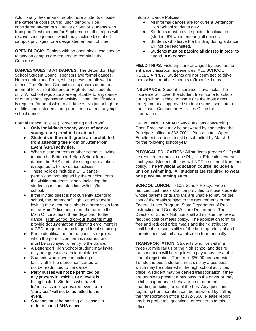Additionally, freshman or sophomore students outside the cafeteria doors during lunch period will be considered off-campus. Junior or Senior students who transport Freshmen and/or Sophomores off campus will receive consequences which may include loss of off campus privileges for a designated amount of time.

**OPEN BLOCK:** Seniors with an open block who choose to stay on campus are required to remain in the Commons.

**DANCES/GUESTS AT DANCES:** The Bettendorf High School Student Council sponsors two formal dances, Homecoming and Prom, which guests are allowed to attend. The Student Council also sponsors numerous informal for current Bettendorf High School students only. All school regulations are applicable to any dance or other school sponsored activity. Photo identification is required for admission to all dances. No junior high or middle school students are permitted to attend any high school dances.

Formal Dance Policies (Homecoming and Prom)

- **Only individuals twenty years of age or younger are permitted to attend.**
- Students in the ninth grade are prohibited **from attending the Prom or After Prom Event (APE) activities.**
- When a student from another school is invited to attend a Bettendorf High School formal dance, the BHS student issuing the invitation is required to follow dance policies.
- These policies include a BHS dance permission form signed by the principal from the visiting student's school indicating the student is in good standing with his/her school.
- If the invited guest is not currently attending school, the Bettendorf High School student inviting the guest must obtain a permission form in the Main Office and return the form to the Main Office at least three days prior to the dance. High School drop-out students must provide documentation indicating enrollment in a GED program and be in good legal standing.
- Photo identification for the quest is required when the permission form is returned and must be displayed for entry to the dance.
- A Bettendorf High School student may invite only one guest to each formal dance.
- Students who leave the building or facility after the dance has started will not be readmitted to the dance.
- Party busses will not be permitted on any property in which a BHS event is being hosted. Students who travel to/from a school sponsored event on a "party bus" will not be admitted to the event.
- Students must be passing all classes in order to attend BHS dances.

Informal Dance Policies

- All informal dances are for current Bettendorf High School students only.
- Students must provide photo identification (student ID) when entering all dances.
- Students who leave the building during a dance will not be readmitted.
- Students must be passing all classes in order to attend BHS dances.

**FIELD TRIPS:** Field trips are arranged by teachers to enhance classroom experiences. ALL SCHOOL RULES APPLY. Students are not permitted to drive themselves or other students to/from field trips.

**INSURANCE:** Student insurance is available. The insurance will cover the student from home to school, during school, school to home (via the most direct route) and at all approved student events, spectator or participant. Contact the Activities Office for information.

**OPEN ENROLLMENT:** Any questions concerning Open Enrollment may be answered by contacting the Principal's office at 332-7001. Please note: Open Enrollment requests must be submitted by March 1 for the following school year.

PHYSICAL EDUCATION: All students (grades 9-12) will be required to enroll in one Physical Education course each year. Student athletes will NOT be exempt from this policy. **The Physical Education course includes a unit on swimming. All students are required to wear one piece swimming suits.**

**SCHOOL LUNCH: -** 710.2 School Policy: Free or reduced cost meals shall be provided to those students whose parents or guardians are unable to pay for the cost of the meals subject to the requirements of the Federal Lunch Program, State Department of Public Instruction and County Welfare Department. The Director of School Nutrition shall administer the free or reduced cost of meals policy. The application form for free and reduced price meals and their distribution shall be the responsibility of the building principal and parents must submit an application form annually.

**TRANSPORTATION:** Students who live within a three (3) mile radius of the high school and desire transportation will be required to pay a bus fee at the time of registration. The fee is \$50.00 per semester. To ride the bus a student must display a bus pass, which may be obtained in the high school activities office. A student may be denied transportation if they are unable to present a bus pass to the driver or they exhibit inappropriate behavior on or near the boarding or exiting area of the bus. Any questions regarding transportation can be answered by calling the transportation office at 332-8600. Please report any bus problems, questions, or concerns to this office.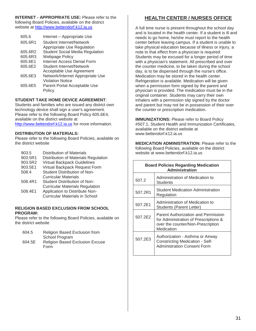**INTERNET - APPROPRIATE USE:** Please refer to the following Board Policies, available on the district website at http://www.bettendorf.k12.ia.us

| 605.6   | Internet - Appropriate Use             |
|---------|----------------------------------------|
| 605.6R1 | Student Internet/Network               |
|         | Appropriate Use Regulation             |
| 605.6R2 | <b>Student Social Media Regulation</b> |
| 605.6R3 | <b>Webpage Policy</b>                  |
| 605.6E1 | <b>Internet Access Denial Form</b>     |
| 605.6E2 | Student Internet/Network               |
|         | Acceptable Use Agreement               |
| 605.6E3 | Network/Internet Appropriate Use       |
|         | <b>Violation Notice</b>                |
| 605.6E5 | Parent Portal Acceptable Use           |
|         | Policy                                 |

## **STUDENT TAKE HOME DEVICE AGREEMENT**:

Students and families who are issued any district own technology device shall sign a user's agreement. Please refer to the following Board Policy 605.6E4, available on the district website at [http://www.bettendorf.k12.ia.us](http://www.bettendorf.k12.ia.us/) for more information.

#### **DISTRIBUTION OF MATERIALS:**

Please refer to the following Board Policies, available on the district website

| 903.5   | <b>Distribution of Materials</b>       |
|---------|----------------------------------------|
| 903.5R1 | Distribution of Materials Regulation   |
| 903.5R2 | Virtual Backpack Guidelines            |
| 903.5E1 | Virtual Backpack Request Form          |
| 508.4   | Student Distribution of Non-           |
|         | Curricular Materials                   |
| 508.4R1 | Student Distribution of Non-           |
|         | <b>Curricular Materials Regulation</b> |
| 508.4E1 | Application to Distribute Non-         |
|         | <b>Curricular Materials in School</b>  |
|         |                                        |

#### **RELIGION BASED EXCLUSION FROM SCHOOL PROGRAM:**

Please refer to the following Board Policies, available on the district website

| 604.5  | Religion Based Exclusion from          |
|--------|----------------------------------------|
|        | School Program                         |
| 604.5E | <b>Religion Based Exclusion Excuse</b> |
|        | Form                                   |

## **HEALTH CENTER / NURSES OFFICE**

A full time nurse is present throughout the school day and is located in the health center. If a student is ill and needs to go home, he/she must report to the health center before leaving campus. If a student is unable to take physical education because of illness or injury, a note to that effect from a physician is required. Students may be excused for a longer period of time with a physician's statement. All prescribed and over the counter medicine, to be taken during the school day, is to be dispensed through the nurse's office. Medication may be stored in the health center. Refrigeration is available. Medication will be given when a permission form signed by the parent and physician is provided. The medication must be in the original container. Students may carry their own inhalers with a permission slip signed by the doctor and parent but may not be in possession of their over the counter or prescription medication.

**IMMUNIZATIONS: Please refer to Board Policy** #507.1, Student Health and Immunization Certificates, available on the district website at [www.bettendorf.k12.ia.us](http://www.bettendorf.k12.ia.us/)

**MEDICATION ADMINISTRATION:** Please refer to the following Board Policies, available on the district website at [www.bettendorf.k12.ia.us](http://www.bettendorf.k12.ia.us/)

| <b>Board Policies Regarding Medication</b><br><b>Administration</b> |                                                                                                                                 |  |
|---------------------------------------------------------------------|---------------------------------------------------------------------------------------------------------------------------------|--|
| 507.2                                                               | Administration of Medication to<br><b>Students</b>                                                                              |  |
| 507.2R1                                                             | <b>Student Medication Administration</b><br>Regulation                                                                          |  |
| 507.2E1                                                             | Administration of Medication to<br>Students (Parent Letter)                                                                     |  |
| 507.2E2                                                             | Parent Authorization and Permission<br>for Administration of Prescriptions &<br>over the counter/Non-Prescription<br>Medication |  |
| 507.2E3                                                             | Authorization - Asthma or Airway<br><b>Constricting Medication - Self-</b><br><b>Administration Consent Form</b>                |  |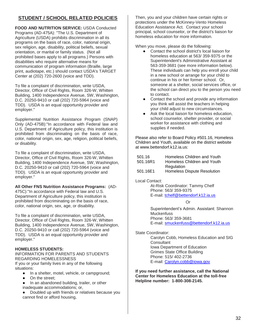## **STUDENT / SCHOOL RELATED POLICIES**

**FOOD AND NUTRITION SERVICE:** USDA Conducted Programs (AD-475A): "The U.S. Department of Agriculture (USDA) prohibits discrimination in all its programs on the basis of race, color, national origin, sex religion, age, disability, political beliefs, sexual orientation, or marital or family status. (Not all prohibited bases apply to all programs.) Persons with disabilities who require alternative means for communication of program information (Braille, large print, audiotape, etc.) should contact USDA's TARGET Center at (202) 720-2600 (voice and TDD).

To file a complaint of discrimination, write USDA, Director, Office of Civil Rights, Room 326-W, Whitten Building, 1400 Independence Avenue, SW, Washington, D.C. 20250-9410 or call (202) 720-5964 (voice and TDD). USDA is an equal opportunity provider and employer."

Supplemental Nutrition Assistance Program (SNAP) Only (AD-475B):"In accordance with Federal law and U.S. Department of Agriculture policy, this institution is prohibited from discriminating on the basis of race, color, national origin, sex, age, religion, political beliefs, or disability.

To file a complaint of discrimination, write USDA, Director, Office of Civil Rights, Room 326-W, Whitten Building, 1400 Independence Avenue, SW, Washington, D.C. 20250-9410 or call (202) 720-5964 (voice and TDD). USDA is an equal opportunity provider and employer."

## **All Other FNS Nutrition Assistance Programs:** (AD-

475C):"In accordance with Federal law and U.S. Department of Agriculture policy, this institution is prohibited from discriminating on the basis of race, color, national origin, sex, age, or disability.

To file a complaint of discrimination, write USDA, Director, Office of Civil Rights, Room 326-W, Whitten Building, 1400 Independence Avenue, SW, Washington, D.C. 20250-9410 or call (202) 720-5964 (voice and TDD). USDA is an equal opportunity provider and employer."

## **HOMELESS STUDENTS:**

#### INFORMATION FOR PARENTS AND STUDENTS REGARDING HOMELESSNESS If you or your family lives in any of the following situations:

- In a shelter, motel, vehicle, or campground;
- On the street;
- In an abandoned building, trailer, or other inadequate accommodations; or,
- Doubled up with friends or relatives because you cannot find or afford housing,

Then, you and your children have certain rights or protections under the McKinney-Vento Homeless Education Assistance Act. Contact your school principal, school counselor, or the district's liaison for homeless education for more information.

When you move, please do the following:

- Contact the school district's local liaison for homeless education at 563/ 359-9375 or the Superintendent's Administrative Assistant at 563-359-3681 (see more information below). These individuals can help you enroll your child in a new school or arrange for your child to continue in his or her former school. Or, someone at a shelter, social services office, or the school can direct you to the person you need to contact.
- Contact the school and provide any information you think will assist the teachers in helping your child adjust to new circumstances.
- Ask the local liaison for homeless education, school counselor, shelter provider, or social worker for assistance with clothing and supplies if needed.

Please also refer to Board Policy #501.16, Homeless Children and Youth, available on the district website at www.bettendorf.k12.ia.us:

| 501.16.  | Homeless Children and Youth |
|----------|-----------------------------|
| 501.16R1 | Homeless Children and Youth |
|          | Regulation                  |
| 501.16E1 | Homeless Dispute Resolution |

Local Contact:

At-Risk Coordinator: Tammy Chelf Phone: 563/ 359-9375 E-mail: [tchelf@bettendorf.k12.ia.us](mailto:tchelf@bettendorf.k12.ia.us)

Or

Superintendent's Admin. Assistant: Shannon Muckenfuss Phone: 563/ 359-3681 E-mail: [smuckenfuss@bettendorf.k12.ia.us](mailto:smuckenfuss@bettendorf.k12.ia.us)

## State Coordinator:

Carolyn Cobb, Homeless Education and SIG **Consultant** Iowa Department of Education Grimes State Office Building Phone: 515/ 402-2736 E-mail: [Carolyn.cobb@iowa.gov](mailto:Carolyn.cobb@iowa.gov)

**If you need further assistance, call the National Center for Homeless Education at the toll-free Helpline number: 1-800-308-2145.**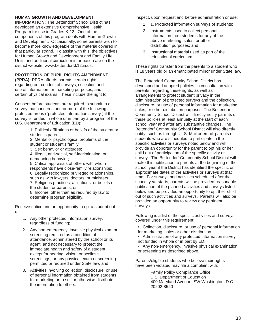## **HUMAN GROWTH AND DEVELOPMENT**

**INFORMATION:** The Bettendorf School District has developed an extensive Comprehensive Health Program for use in Grades K-12. One of the components of this program deals with Human Growth and Development. Occasionally, some parents wish to become more knowledgeable of the material covered in that particular strand. To assist with this, the objectives for Human Growth and Development and Family Life Units and additional curriculum information are on the district website, [www.bettendorf.k12.ia.us.](http://www.bettendorf.k12.ia.us/)

## **PROTECTION OF PUPIL RIGHTS AMENDMENT**

**(PPRA):** PPRA affords parents certain rights regarding our conduct of surveys, collection and use of information for marketing purposes, and certain physical exams. These include the right to:

Consent before students are required to submit to a survey that concerns one or more of the following protected areas ("protected information survey") if the survey is funded in whole or in part by a program of the U.S. Department of Education (ED):

> 1. Political affiliations or beliefs of the student or student's parent;

2. Mental or psychological problems of the student or student's family;

3. Sex behavior or attitudes;

4. Illegal, anti-social, self-incriminating, or demeaning behavior;

5. Critical appraisals of others with whom respondents have close-family relationships; 6. Legally recognized privileged relationships, such as with lawyers, doctors, or ministers; 7. Religious practices, affiliations, or beliefs of the student or parents; or 8. Income, other than as required by law to determine program eligibility.

Receive notice and an opportunity to opt a student out of:

- 1. Any other protected information survey, regardless of funding;
- 2. Any non-emergency, invasive physical exam or screening required as a condition of attendance, administered by the school or its agent, and not necessary to protect the immediate health and safety of a student, except for hearing, vision, or scoliosis screenings, or any physical exam or screening permitted or required under State law; and
- 3. Activities involving collection, disclosure, or use of personal information obtained from students for marketing or to sell or otherwise distribute the information to others.

Inspect, upon request and before administration or use:

- 1. 1. Protected information surveys of students;
- 2. Instruments used to collect personal information from students for any of the above marketing, sales, or other distribution purposes; and
- 3. Instructional material used as part of the educational curriculum.

These rights transfer from the parents to a student who is 18 years old or an emancipated minor under State law.

The Bettendorf Community School District has developed and adopted policies, in consultation with parents, regarding these rights, as well as arrangements to protect student privacy in the administration of protected surveys and the collection, disclosure, or use of personal information for marketing, sales, or other distribution purposes. The Bettendorf Community School District will directly notify parents of these policies at least annually at the start of each school year and after any substantive changes. The Bettendorf Community School District will also directly notify, such as through U .S. Mail or email, parents of students who are scheduled to participate in the specific activities or surveys noted below and will provide an opportunity for the parent to opt his or her child out of participation of the specific activity or survey. The Bettendorf Community School District will make this notification to parents at the beginning of the school year if the District has identified the specific or approximate dates of the activities or surveys at that time. For surveys and activities scheduled after the school year starts, parents will be provided reasonable notification of the planned activities and surveys listed below and be provided an opportunity to opt their child out of such activities and surveys. Parents will also be provided an opportunity to review any pertinent surveys.

Following is a list of the specific activities and surveys covered under this requirement:

- Collection, disclosure, or use of personal information for marketing, sales or other distribution
- Administration of any protected information survey not funded in whole or in part by ED.
- Any non-emergency, invasive physical examination or screening as described above.

Parents/eligible students who believe their rights have been violated may file a complaint with:

> Family Policy Compliance Office U.S. Department of Education 400 Maryland Avenue, SW Washington, D.C. 20202-8520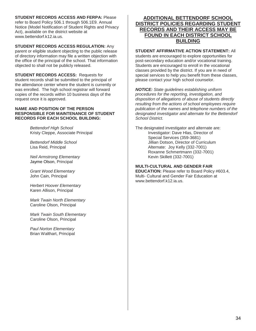**STUDENT RECORDS ACCESS AND FERPA:** Please

refer to Board Policy 506.1 through 506.1E9. Annual Notice (Model Notification of Student Rights and Privacy Act), available on the district website at [www.bettendorf.k12.ia.us.](http://www.bettendorf.k12.ia.us/)

## **STUDENT RECORDS ACCESS REGULATION:** Any

parent or eligible student objecting to the public release of directory information may file a written objection with the office of the principal of the school. That information objected to shall not be publicly released.

**STUDENT RECORDS ACCESS:** Requests for student records shall be submitted to the principal of the attendance center where the student is currently or was enrolled. The high school registrar will forward copies of the records within 10 business days of the request once it is approved.

#### **NAME AND POSITION OF THE PERSON RESPONSIBLE FOR MAINTENANCE OF STUDENT RECORDS FOR EACH SCHOOL BUILDING:**

*Bettendorf High School* Kristy Cleppe, Associate Principal

*Bettendorf Middle School* Lisa Reid, Principal

*Neil Armstrong Elementary* Jayme Olson, Principal

*Grant Wood Elementary* John Cain, Principal

*Herbert Hoover Elementary* Karen Allison, Principal

*Mark Twain North Elementary* Caroline Olson, Principal

*Mark Twain South Elementary* Caroline Olson, Principal

*Paul Norton Elementary* Brian Walthart, Principal

## **ADDITIONAL BETTENDORF SCHOOL DISTRICT POLICIES REGARDING STUDENT RECORDS AND THEIR ACCESS MAY BE FOUND IN EACH DISTRICT SCHOOL BUILDING**

## **STUDENT AFFIRMATIVE ACTION STATEMENT:** All

students are encouraged to explore opportunities for post-secondary education and/or vocational training. Students are encouraged to enroll in the vocational classes provided by the district. If you are in need of special services to help you benefit from these classes, please contact your high school counselor.

*NOTICE: State guidelines establishing uniform procedures for the reporting, investigation, and disposition of allegations of abuse of students directly resulting from the actions of school employees require publication of the names and telephone numbers of the designated investigator and alternate for the Bettendorf School District.*

The designated investigator and alternate are: Investigator: Dave Hlas, Director of Special Services (359-3681) Jillian Dotson, Director of Curriculum Alternate: Joy Kelly (332-7001) Roxanne Schmertmann (332-7001) Kevin Skillett (332-7001)

## **MULTI-CULTURAL AND GENDER FAIR**

**EDUCATION:** Please refer to Board Policy #603.4, Multi- Cultural and Gender Fair Education at [www.bettendorf.k12.ia.us.](http://www.bettendorf.k12.ia.us/)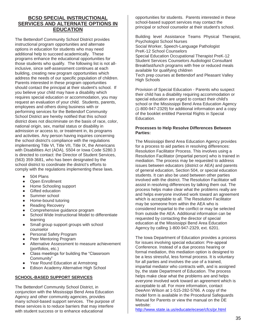## **BCSD SPECIAL INSTRUCTIONAL SERVICES AND ALTERNATE OPTIONS IN EDUCATION**

The Bettendorf Community School District provides instructional program opportunities and alternate options in education for students who may need additional help to succeed academically. These programs enhance the educational opportunities for those students who qualify. The following list is not allinclusive, since self-assessment continues at each building, creating new program opportunities which address the needs of our specific population of children. Parents interested in these program opportunities should contact the principal at their student's school. If you believe your child may have a disability which requires special education or accommodation, you may request an evaluation of your child. Students, parents, employees and others doing business with or performing services for the Bettendorf Community School District are hereby notified that this school district does not discriminate on the basis of race, color, national origin, sex, marital status or disability in admission or access to, or treatment in, its programs and activities. Any person having inquiries concerning the school district's compliance with the regulations implementing Title VI, Title VII, Title IX, the Americans with Disabilities Act (ADA), S504 or Iowa Code S280.3 is directed to contact: the Director of Student Services, (563) 359-3681, who has been designated by the school district to coordinate the district's efforts to comply with the regulations implementing these laws.

- 504 Plans
- Open Enrollment
- Home Schooling support
- **Gifted education**
- Summer school
- Home-bound tutoring
- **Reading Recovery**
- Comprehensive quidance program
- School Wide Instructional Model to differentiate learning
- Small group support groups with school counselor
- Personal Safety Program
- Peer Mentoring Program
- Alternative Assessment to measure achievement (portfolios, etc.)
- Class meetings for building the "Classroom Community"
- Year Round Education at Armstrong
- **Edison Academy Alternative High School**

## **SCHOOL-BASED SUPPORT SERVICES**

The Bettendorf Community School District, in conjunction with the Mississippi Bend Area Education Agency and other community agencies, provides many school-based support services. The purpose of these services is to reduce barriers that may interfere with student success or to enhance educational

opportunities for students. Parents interested in these school-based support services may contact the principal or school counselor at their student's school.

Building level Assistance Teams Physical Therapist, Psychologist School Nurses Social Worker, Speech-Language Pathologist PreK-12 School Counselors Special Education Occupational Therapist PreK-12 Student Services Counselors Audiologist Consultant Breakfast/lunch programs with free or reduced meals available for qualifying children Tech prep courses at Bettendorf and Pleasant Valley High Schools

Provision of Special Education - Parents who suspect their child has a disability requiring accommodation or special education are urged to contact their child's school or the Mississippi Bend Area Education Agency (1-800-947-2329) for additional information and a copy of the booklet entitled Parental Rights in Special Education.

### **Processes to Help Resolve Differences Between Parties:**

The Mississippi Bend Area Education Agency provides for a process to aid parties in resolving differences: Resolution Facilitator Process. This involves using a Resolution Facilitator (impartial person) who is trained in mediation. The process may be requested to address issues between educators (district or AEA) and parents of general education, Section 504, or special education students. It can also be used between other parties involved with the district. The Resolution Facilitator will assist in resolving differences by talking them out. The process helps make clear what the problems really are and helps everyone involved work toward an agreement which is acceptable to all. The Resolution Facilitator may be someone from within the AEA who is considered impartial to the conflict or may be selected from outside the AEA. Additional information can be requested by contacting the director of special education at the Mississippi Bend Area Education Agency by calling 1-800-947-2329, ext. 6201.

The Iowa Department of Education provides a process for issues involving special education: Pre-appeal Conference. Instead of a due process hearing or formal mediation, this mediation option is designed to be a less stressful, less formal process. It is voluntary for all parties and involves the use of a trained, impartial mediator who contracts with, and is assigned by, the state Department of Education. The process helps make clear what the problems are and helps everyone involved work toward an agreement which is acceptable to all. For more information, contact DeeAnn Wilson at 1-515-282-5766. A copy of the model form is available in the Procedural Safeguards Manual for Parents or view the manual on the DE website:

http://www.state.ia.us/educate/ecese/cfcs/pr.html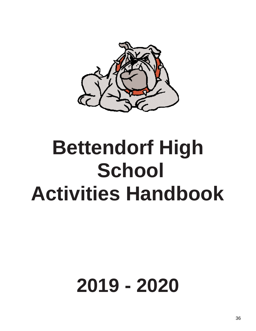

## **Bettendorf High School Activities Handbook**

# **2019 - 2020**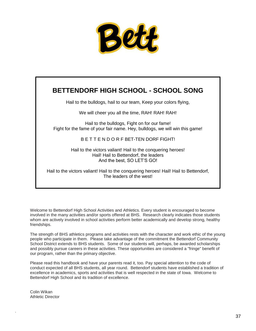

## **BETTENDORF HIGH SCHOOL - SCHOOL SONG**

Hail to the bulldogs, hail to our team, Keep your colors flying,

We will cheer you all the time, RAH! RAH! RAH!

Hail to the bulldogs, Fight on for our fame! Fight for the fame of your fair name. Hey, bulldogs, we will win this game!

## B E T T E N D O R F BET-TEN DORF FIGHT!

Hail to the victors valiant! Hail to the conquering heroes! Hail! Hail to Bettendorf, the leaders And the best, SO LET'S GO!

Hail to the victors valiant! Hail to the conquering heroes! Hail! Hail to Bettendorf, The leaders of the west!

Welcome to Bettendorf High School Activities and Athletics. Every student is encouraged to become involved in the many activities and/or sports offered at BHS. Research clearly indicates those students whom are actively involved in school activities perform better academically and develop strong, healthy friendships.

The strength of BHS athletics programs and activities rests with the character and work ethic of the young people who participate in them. Please take advantage of the commitment the Bettendorf Community School District extends to BHS students. Some of our students will, perhaps, be awarded scholarships and possibly pursue careers in these activities. These opportunities are considered a "fringe" benefit of our program, rather than the primary objective.

Please read this handbook and have your parents read it, too. Pay special attention to the code of conduct expected of all BHS students, all year round. Bettendorf students have established a tradition of excellence in academics, sports and activities that is well respected in the state of Iowa. Welcome to Bettendorf High School and its tradition of excellence.

Colin Wikan Athletic Director

.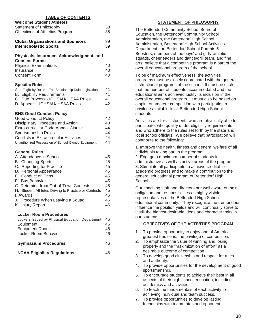| <b>TABLE OF CONTENTS</b>                                                                      |          |  |
|-----------------------------------------------------------------------------------------------|----------|--|
| <b>Welcome Student Athletes</b><br>Statement of Philosophy<br>Objectives of Athletics Program | 38<br>38 |  |
|                                                                                               |          |  |
| <b>Clubs, Organizations and Sponsors</b><br><b>Interscholastic Sports</b>                     | 39<br>39 |  |
| Physicals, Insurance, Acknowledgment, and<br><b>Consent Forms</b>                             |          |  |
| <b>Physical Examinations</b>                                                                  | 40       |  |
| Insurance                                                                                     | 40       |  |
| <b>Consent Form</b>                                                                           | 40       |  |
| <b>Specific Rules</b>                                                                         |          |  |
| A. Eligibility Rules - The Scholarship Rule Legislation                                       | 41       |  |
| <b>B.</b> Eligibility Requirements<br>C. Due Process - IGHSAU/IHSAA Rules                     | 41<br>41 |  |
| D. Appeals - IGHSAU/IHSAA Rules                                                               | 42       |  |
|                                                                                               |          |  |
| <b>BHS Good Conduct Policy</b><br><b>Good Conduct Policy</b>                                  | 42       |  |
| Disciplinary Procedure and Action                                                             | 43       |  |
| Extra-curricular Code Appeal Clause                                                           | 44       |  |
| Sportsmanship Rules                                                                           | 44       |  |
| <b>Conflicts in Extracurricular Activities</b>                                                | 44       |  |
| Unauthorized Possession of School-Owned Equipment                                             | 44       |  |
| <b>General Rules</b>                                                                          |          |  |
| A. Attendance in School                                                                       | 45       |  |
| <b>B.</b> Changing Sports<br>C. Reporting for Practice                                        | 45<br>45 |  |
| D. Personal Appearance                                                                        | 45       |  |
| E. Conduct on Trips                                                                           | 45       |  |
| F. Bus Behavior                                                                               | 45       |  |
| G. Returning from Out-of-Town Contests                                                        | 45<br>45 |  |
| H. Student Athletes Driving to Practice or Contests<br>I. Awards                              | 46       |  |
| J. Procedure When Leaving a Squad                                                             | 46       |  |
| K. Injury Report                                                                              | 46       |  |
| <b>Locker Room Procedures</b>                                                                 |          |  |
| Lockers Issued by Physical Education Department                                               | 46       |  |
| Equipment                                                                                     | 46       |  |
| <b>Equipment Room</b>                                                                         | 46       |  |
| Locker Room Behavior                                                                          | 46       |  |
| <b>Gymnasium Procedures</b>                                                                   | 46       |  |
| <b>NCAA Eligibility Regulations</b><br>46                                                     |          |  |

## **STATEMENT OF PHILOSOPHY**

The Bettendorf Community School Board of Education, the Bettendorf Community School Administration, the Bettendorf High School Administration, Bettendorf High School Activities Department, the Bettendorf School Parents & Boosters, members of the boys' and girls' athletic squads, cheerleaders and dance/drill team, and fine arts, believe that a competitive program is a part of the overall educational program of the school.

To be of maximum effectiveness, the activities programs must be closely coordinated with the general instructional programs of the school. It must be such that the number of students accommodated and the educational aims achieved justify its inclusion in the overall educational program. It must also be based on a spirit of amateur competition with participation a privilege available to all Bettendorf High School students.

Activities are for all students who are physically able to participate, who qualify under eligibility requirements, and who adhere to the rules set forth by the state and local school officials. We believe that participation will contribute to the following:

1. Improve the health, fitness and general welfare of all individuals taking part in the program. 2. Engage a maximum number of students in administrative as well as active areas of the program. 3. Stimulate all participants to achieve creditable academic progress and to make a contribution to the general educational program of Bettendorf High School.

Our coaching staff and directors are well aware of their obligation and responsibilities as highly visible representatives of the Bettendorf High School educational community. They recognize the tremendous influence the position yields and will continually strive to instill the highest desirable ideas and character traits in our students.

#### **OBJECTIVES OF THE ACTIVITIES PROGRAM**

- 1. To provide opportunity to enjoy one of America's greatest traditions, the privilege of competition.
- 2. To emphasize the value of winning and losing properly and the "maximization of effort" as a desirable outcome of competition.
- 3. To develop good citizenship and respect for rules and authority.
- 4. To provide opportunities for the development of good sportsmanship.
- 5. To encourage students to achieve their best in all aspects of their high school education, including academics and activities.
- 6. To teach the fundamentals of each activity for achieving individual and team success.
- 7. To provide opportunities to develop lasting friendships with teammates and opponent.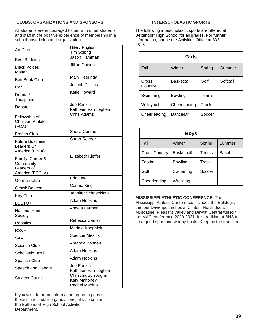## **CLUBS, ORGANIZATIONS AND SPONSORS**

All students are encouraged to join with other students and staff in the positive experience of membership in a school-based club and organization.

| <b>Art Club</b>                                                | <b>Hilary Puglisi</b><br><b>Tim Solbrig</b>          |
|----------------------------------------------------------------|------------------------------------------------------|
| <b>Best Buddies</b>                                            | Jason Hamman                                         |
| <b>Black Voices</b><br>Matter                                  | Jillian Dotson                                       |
| <b>Bett Book Club</b>                                          | Mary Heeringa                                        |
| Car                                                            | Joseph Phillips                                      |
| Drama /<br>Thespians                                           | <b>Katie Howard</b>                                  |
| Debate                                                         | Joe Rankin<br>Kathleen VanTieghem                    |
| Fellowship of<br><b>Christian Athletes</b><br>(FCA)            | Chris Adams                                          |
| <b>French Club</b>                                             | Sheila Conrad                                        |
| <b>Future Business</b><br>Leaders Of<br>America (FBLA)         | Sarah Roeder                                         |
| Family, Career &<br>Community<br>Leaders of<br>America (FCCLA) | Elizabeth Kieffer                                    |
| German Club                                                    | Erin Law                                             |
| Growl/ Beacon                                                  | <b>Connie King</b>                                   |
| Key Club                                                       | Jennifer Schneckloth                                 |
| LGBTQ+                                                         | <b>Adam Hopkins</b>                                  |
| <b>National Honor</b><br>Society                               | Angela Farmer                                        |
| Robotics                                                       | Rebecca Carton                                       |
| <b>RSVP</b>                                                    | Maddie Koepnick                                      |
| <b>SAVE</b>                                                    | <b>Spencer Mesick</b>                                |
| <b>Science Club</b>                                            | Amanda Bohnert                                       |
| <b>Scholastic Bowl</b>                                         | <b>Adam Hopkins</b>                                  |
| Spanish Club                                                   | Adam Hopkins                                         |
| Speech and Debate                                              | Joe Rankin<br>Kathleen VanTieghem                    |
| <b>Student Council</b>                                         | Christina Burroughs<br>Katy Mahoney<br>Rachel Medina |

If you wish for more information regarding any of these clubs and/or organizations, please contact the Bettendorf High School Activities Department.

## **INTERSCHOLASTIC SPORTS**

The following interscholastic sports are offered at Bettendorf High School for all grades. For further information, phone the Activities Office at 332- 4516.

| Girls            |                   |        |          |  |
|------------------|-------------------|--------|----------|--|
| Fall             | Winter            | Spring | Summer   |  |
| Cross<br>Country | <b>Basketball</b> | Golf   | Softball |  |
| Swimming         | Bowling           | Tennis |          |  |
| Volleyball       | Cheerleading      | Track  |          |  |
| Cheerleading     | Dance/Drill       | Soccer |          |  |

| <b>Boys</b>          |                   |        |          |  |  |
|----------------------|-------------------|--------|----------|--|--|
| Fall                 | Winter            | Spring | Summer   |  |  |
| <b>Cross Country</b> | <b>Basketball</b> | Tennis | Baseball |  |  |
| Football             | <b>Bowling</b>    | Track  |          |  |  |
| Golf                 | Swimming          | Soccer |          |  |  |
| Cheerleading         | Wrestling         |        |          |  |  |

**MISSISSIPPI ATHLETIC CONFERENCE:** The

Mississippi Athletic Conference includes the Bulldogs, the four Davenport schools, Clinton, North Scott, Muscatine, Pleasant Valley and DeWitt Central will join the MAC conference 2020-2021. It is tradition at BHS to be a good sport and worthy hosts! Keep up the tradition.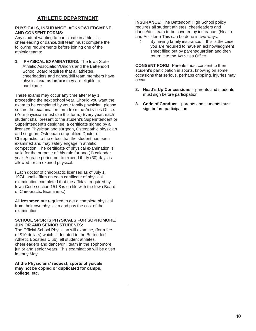## **PHYSICALS, INSURANCE, ACKNOWLEDGMENT, AND CONSENT FORMS:**

Any student wanting to participate in athletics, cheerleading or dance/drill team must complete the following requirements before joining one of the athletic teams:

**1. PHYSICAL EXAMINATIONS:** The Iowa State Athletic Association/Union's and the Bettendorf School Board requires that all athletes, cheerleaders and dance/drill team members have physical exams **before** they are eligible to participate.

These exams may occur any time after May 1, proceeding the next school year. Should you want the exam to be completed by your family physician, please secure the examination form from the Activities Office. (Your physician must use this form.) Every year, each student shall present to the student's Superintendent or Superintendent's designee, a certificate signed by a licensed Physician and surgeon, Osteopathic physician and surgeon, Osteopath or qualified Doctor of Chiropractic, to the effect that the student has been examined and may safely engage in athletic competition. The certificate of physical examination is valid for the purpose of this rule for one (1) calendar year. A grace period not to exceed thirty (30) days is allowed for an expired physical.

(Each doctor of chiropractic licensed as of July 1, 1974, shall affirm on each certificate of physical examination completed that the affidavit required by Iowa Code section 151.8 is on file with the Iowa Board of Chiropractic Examiners.)

All **freshmen** are required to get a complete physical from their own physician and pay the cost of the examination.

## **SCHOOL SPORTS PHYSICALS FOR SOPHOMORE, JUNIOR AND SENIOR STUDENTS:**

The Official School Physician will examine, (for a fee of \$10 dollars) which is donated to the Bettendorf Athletic Boosters Club), all student athletes, cheerleaders and dance/drill team in the sophomore, junior and senior years. This examination will be given in early May.

**At the Physicians' request, sports physicals may not be copied or duplicated for camps, college, etc.**

**INSURANCE:** The Bettendorf High School policy requires all student athletes, cheerleaders and dance/drill team to be covered by insurance. (Health and Accident) This can be done in two ways:

> By having family insurance. If this is the case, you are required to have an acknowledgment sheet filled out by parent/guardian and then return it to the Activities Office.

**CONSENT FORM: Parents must consent to their** student's participation in sports, knowing on some occasions that serious, perhaps crippling, injuries may occur.

- **2. Head's Up Concessions –** parents and students must sign before participation
- **3. Code of Conduct** parents and students must sign before participation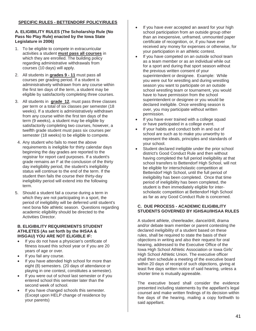## **SPECIFIC RULES - BETTENDORF POLICY/RULES**

## **A. ELIGIBILITY RULES (The Scholarship Rule (No Pass No Play Rule) enacted by the Iowa State Legislature in 2006)**

- 1. To be eligible to compete in extracurricular activities a student **must pass all courses** in which they are enrolled. The building policy regarding administrative withdrawals from courses (10 days) will apply.
- 2. All students in **grades 9 - 11** must pass all courses per grading period. If a student is administratively withdrawn from any course within the first ten days of the term, a student may be eligible by satisfactorily completing three courses.
- 3. All students in **grade 12**, must pass three classes per term or a total of six classes per semester (18 weeks). If a student is administratively withdrawn from any course within the first ten days of the term (9 weeks), a student may be eligible by satisfactorily completing two courses, however, a twelfth grade student must pass six courses per semester (18 weeks) to be eligible to compete.
- 4. Any student who fails to meet the above requirements is ineligible for thirty calendar days beginning the day grades are reported to the registrar for report card purposes. If a student's grade remains an F at the conclusion of the thirty day ineligibility period, the student's ineligibility status will continue to the end of the term. If the student then fails the course their thirty-day ineligibility period will extend into the following term.
- 5. Should a student fail a course during a term in which they are not participating in a sport, the period of ineligibility will be deferred until student's next bona fide athletic season. Questions regarding academic eligibility should be directed to the Activities Director.

#### **B. ELIGIBILITY REQUIREMENTS STUDENT ATHLETES (As set forth by the IHSAA & IHSGAU) YOU ARE NOT ELIGIBLE IF:**

- If you do not have a physician's certificate of fitness issued this school year or if you are 20 years of age or over.
- If you fail any course.
- If you have attended high school for more than eight (8) semesters. (20 days of attendance or playing in one contest, constitutes a semester).
- If you were out of school last semester or if you entered school this semester later than the second week of school.
- If you have changed schools this semester. (Except upon HELP change of residence by your parents)
- If you have ever accepted an award for your high school participation from an outside group other than an inexpensive, unframed, unmounted paper certificate of recognition, or, if you have ever received any money for expenses or otherwise, for your participation in an athletic contest.
- If you have competed on an outside school team as a team member or as an individual while out for a sport and during that sport season without the previous written consent of your superintendent or designee. Example: While you were out for wrestling and during wrestling season you want to participate on an outside school wrestling team or tournament, you would have to have permission from the school superintendent or designee or you would be declared ineligible. Once wrestling season is over, you may participate without written permission.
- If you have ever trained with a college squad or have participated in a college event.
- If your habits and conduct both in and out of school are such as to make you unworthy to represent the ideals, principles and standards of your school.
- Student declared ineligible under the prior school district's Good Conduct Rule and then without having completed the full period ineligibility at that school transfers to Bettendorf High School, will not be eligible for interscholastic competition at Bettendorf High School, until the full period of ineligibility has been completed. Once that time period of ineligibility has been completed, the student is then immediately eligible for interscholastic competition at Bettendorf High School as far as any Good Conduct Rule is concerned.

## **C. DUE PROCESS - ACADEMIC ELIGIBILITY STUDENTS GOVERNED BY IGHSAU/IHSAA RULES**

A student athlete, cheerleader, dance/drill, drama and/or debate team member or parent contesting the declared ineligibility of a student based on these rules, shall be required to state the basis of their objections in writing and also their request for oral hearing, addressed to the Executive Office of the Iowa High School Athletic Association or Iowa Girls' High School Athletic Union. The executive officer shall then schedule a meeting of the executive board within 20 days of receipt of such objections, giving at least five days written notice of said hearing, unless a shorter time is mutually agreeable.

The executive board shall consider the evidence presented including statements by the appellant's legal counsel and make written findings of its decision within five days of the hearing, mailing a copy forthwith to said appellant.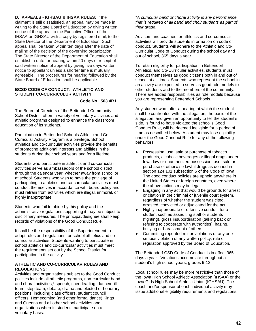**D. APPEALS - IGHSAU & IHSAA RULES:** If the claimant is still dissatisfied, an appeal may be made in writing to the State Board of Education by giving written notice of the appeal to the Executive Officer of the IHSAA or IGHSAU with a copy by registered mail, to the State Director of the Department of Education. Such appeal shall be taken within ten days after the date of mailing of the decision of the governing organization. The State Director of the Department of Education shall establish a date for hearing within 20 days of receipt of said written notice of appeal by giving five days written notice to appellant unless a shorter time is mutually agreeable. The procedures for hearing followed by the State Board of Education shall be applicable.

## **BCSD CODE OF CONDUCT: ATHLETIC AND STUDENT CO-CURRICULUR ACTIVITY**

## **Code No. 503.4R1**

The Board of Directors of the Bettendorf Community School District offers a variety of voluntary activities and athletic programs designed to enhance the classroom education of its students.

Participation in Bettendorf Schools Athletic and Co-Curricular Activity Program is a privilege. School athletics and co-curricular activities provide the benefits of promoting additional interests and abilities in the students during their school years and for a lifetime.

Students who participate in athletics and co-curricular activities serve as ambassadors of the school district through the calendar year, whether away from school or at school. Students who wish to have the privilege of participating in athletics and co-curricular activities must conduct themselves in accordance with board policy and must refrain from activities which are illegal, immoral, or highly inappropriate.

Students who fail to abide by this policy and the administrative regulations supporting it may be subject to disciplinary measures. The principal/designee shall keep records of violations of the Good Conduct Rule.

It shall be the responsibility of the Superintendent to adopt rules and regulations for school athletics and cocurricular activities. Students wanting to participate in school athletics and co-curricular activities must meet the requirements set out by the School District for participation in the activity.

## **ATHLETIC AND CO-CURRICULAR RULES AND REGULATIONS:**

Activities and organizations subject to the Good Conduct policies include all athletic programs, non-curricular band and choral activities,\* speech, cheerleading, dance/drill team, step team, debate, drama and elected or honorary positions, including class officers, student council officers, Homecoming (and other formal dance) Kings and Queens and all other school activities and organizations wherein students participate on a voluntary basis.

*\*A curricular band or choral activity is any performance that is required of all band and choir students as part of their grade.*

Advisors and coaches for athletics and co-curricular activities will provide students information on code of conduct. Students will adhere to the Athletic and Co-Curricular Code of Conduct during the school day and out of school, 365 days a year.

To retain eligibility for participation in Bettendorf Athletics, and Co-Curricular activities, students must conduct themselves as good citizens both in and out of school at all times. Students who represent the school in an activity are expected to serve as good role models to other students and to the members of the community. There are added responsibilities as role models because you are representing Bettendorf Schools.

Any student who, after a hearing at which the student shall be confronted with the allegation, the basis of the allegation, and given an opportunity to tell the student's side, is found to have violated the school's Good Conduct Rule, will be deemed ineligible for a period of time as described below. A student may lose eligibility under the Good Conduct Rule for any of the following behaviors:

- Possession, use, sale or purchase of tobacco products, alcoholic beverages or illegal drugs under Iowa law or unauthorized possession, use, sale or purchase of otherwise lawful drugs as defined in section 124.101 subsection 5 of the Code of Iowa. The good conduct policies are upheld anywhere in the United States or foreign countries, even where the above actions may be legal.
- Engaging in any act that would be grounds for arrest or citation in the criminal or juvenile court system, regardless of whether the student was cited, arrested, convicted or adjudicated for the act.
- Highly inappropriate or offensive conduct for a student such as assaulting staff or students (fighting), gross insubordination (talking back or refusing to cooperate with authorities), hazing, bullying or harassment of others.
- Committing repeated minor violations or any one serious violation of any written policy, rule or regulation approved by the Board of Education.

The Bettendorf CSD Code of Conduct is in effect 365 days a year. Violations accumulate throughout a student's high school years, grades 9-12.

Local school rules may be more restrictive than those of the Iowa High School Athletic Association (IHSAA) or the Iowa Girls High School Athletic Union (IGHSAU). The coach and/or sponsor of each individual activity may issue additional eligibility requirements and regulations.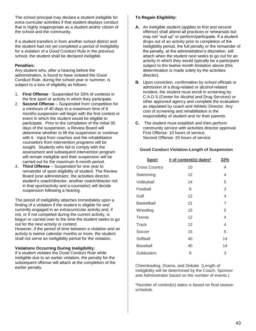The school principal may declare a student ineligible for extra-curricular activities if that student displays conduct that is highly inappropriate as a student and/or citizen of the school and the community.

If a student transfers in from another school district and the student had not yet completed a period of ineligibility for a violation of a Good Conduct Rule in the previous school, the student shall be declared ineligible.

## **Penalties:**

Any student who, after a hearing before the administration, is found to have violated the Good Conduct Rule, during the school year or summer, is subject to a loss of eligibility as follows:

- 1. **First Offense** Suspended for 33% of contests in the first sport or activity in which they participate.
- 2. **Second Offense**  Suspended from competition for a minimum of 40 days to a maximum time of 6 months.suspension will begin with the first contest or event in which the student would be eligible to participate. Prior to the completion of the initial 30 days of the suspension, a Review Board will determine whether to lift the suspension or continue with it. Input from coaches and the rehabilitation counselors from intervention programs will be sought. Students who fail to comply with the assessment and subsequent intervention program will remain ineligible and their suspension will be carried out for the maximum 6-month period.
- 3. **Third Offense** Suspended for one year to remainder of sport eligibility of student. The Review Board (one administrator, the activities director, student's coach/director, another coach/director not in that sport/activity and a counselor) will decide suspension following a hearing.

The period of ineligibility attaches immediately upon a finding of a violation if the student is eligible for and currently engaged in an extracurricular activity and, if not, or if not competed during the current activity, is begun or carried over to the time the student seeks to go out for the next activity or contest.

However, if the period of time between a violation and an activity is twelve calendar months or more, the student shall not serve an ineligibility period for the violation.

## **Violations Occurring During Ineligibility:**

If a student violates the Good Conduct Rule while ineligible due to an earlier violation, the penalty for the subsequent offense will attach at the completion of the earlier penalty.

## **To Regain Eligibility:**

- **A.** An ineligible student (applies to first and second offense) shall attend all practices or rehearsals but may not "suit up" or perform/participate. If a student drops out of an activity prior to completion of the ineligibility period, the full penalty or the remainder of the penalty, at the administration's discretion, will attach when the student next seeks to go out for an activity in which they would typically be a participant subject to the twelve month limitation above (this determination is made solely by the activities director).
- **B.** Upon conviction, confirmation by school officials or admission of a drug-related or alcohol-related incident, the student must enroll in screening by C.A.D.S (Center for Alcohol and Drug Services) or other approved agency and complete the evaluation as stipulated by coach and Athletic Director. Any cost of screening and rehabilitation is the responsibility of student and /or their parents.
- **C.** The student must establish and then perform community service with activities director approval. First Offense: 10 hours of service. Second Offense: 20 hours of service

## **Good Conduct Violation-Length of Suspension**

| <b>Sport</b>         | # of contest(s) dates* | 33% |
|----------------------|------------------------|-----|
| <b>Cross Country</b> | 10                     | 4   |
| Swimming             | 12                     | 4   |
| Volleyball           | 14                     | 5   |
| Football             | 9                      | 3   |
| Golf                 | 12                     | 4   |
| <b>Basketball</b>    | 21                     | 7   |
| Wrestling            | 15                     | 5   |
| Tennis               | 12                     | 4   |
| Track                | 12                     | 4   |
| Soccer               | 15                     | 5   |
| Softball             | 40                     | 14  |
| Baseball             | 40                     | 14  |
| Goldusters           | 9                      | 3   |

Cheerleading, Drama, and Debate (Length of ineligibility will be determined by the Coach, Sponsor and Administrator based on the number of events.)

\*Number of contest(s) dates is based on final season schedule.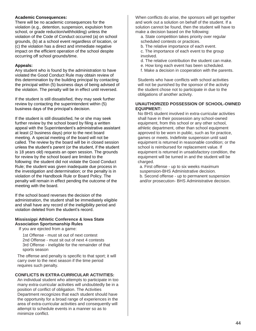## **Academic Consequences:**

There will be no academic consequences for the violation (e.g., detention, suspension, expulsion from school, or grade reduction/withholding) unless the violation of the Code of Conduct occurred (a) on school grounds, (b) at a school event regardless of location, or (c) the violation has a direct and immediate negative impact on the efficient operation of the school despite occurring off school grounds/time.

## **Appeals:**

Any student who is found by the administration to have violated the Good Conduct Rule may obtain review of this determination by the building principal by contacting the principal within (5) business days of being advised of the violation. The penalty will be in effect until reversed.

If the student is still dissatisfied, they may seek further review by contacting the superintendent within (5) business days of the principal's decision.

If the student is still dissatisfied, he or she may seek further review by the school board by filing a written appeal with the Superintendent's administrative assistant at least (2 business days) prior to the next board meeting. A special meeting of the board will not be called. The review by the board will be in closed session unless the student's parent (or the student, if the student is 18 years old) requests an open session. The grounds for review by the school board are limited to the following: the student did not violate the Good Conduct Rule; the student was given inadequate due process in the investigation and determination; or the penalty is in violation of the Handbook Rule or Board Policy. The penalty will remain in effect pending the outcome of the meeting with the board.

If the school board reverses the decision of the administration, the student shall be immediately eligible and shall have any record of the ineligibility period and violation deleted from the student's record.

## **Mississippi Athletic Conference & Iowa State Association Sportsmanship Rules**

If you are ejected from a game:

1st Offense - must sit out of next contest 2nd Offense - must sit out of next 4 contests 3rd Offense - ineligible for the remainder of that sports season

The offense and penalty is specific to that sport; it will carry over to the next season if the time period requires such penalty.

## **CONFLICTS IN EXTRA-CURRICULAR ACTIVITIES:**

An individual student who attempts to participate in too many extra-curricular activities will undoubtedly be in a position of conflict of obligation. The Activities Department recognizes that each student should have the opportunity for a broad range of experiences in the area of extra-curricular activities and consequently will attempt to schedule events in a manner so as to minimize conflict.

When conflicts do arise, the sponsors will get together and work out a solution on behalf of the student. If a solution cannot be found, then the student will have to make a decision based on the following:

a. State competition takes priority over regular scheduled contests or practices.

b. The relative importance of each event.

c. The importance of each event to the group involved.

- d. The relative contribution the student can make.
- e. How long each event has been scheduled.
- f. Make a decision in cooperation with the parents.

Students who have conflicts with school activities will not be punished by the sponsor of the activity the student chose not to participate in due to the obligations of another activity.

## **UNAUTHORIZED POSSESSION OF SCHOOL-OWNED EQUIPMENT:**

No BHS student involved in extra-curricular activities shall have in their possession any school-owned equipment, from this school or any other school, athletic department, other than school equipment approved to be worn in public, such as for practice, games or meets. Indefinite suspension until said equipment is returned in reasonable condition; or the school is reimbursed for replacement value. If equipment is returned in unsatisfactory condition, the equipment will be turned in and the student will be charged.

a. First offense - up to six weeks maximum suspension-BHS Administrative decision. b. Second offense - up to permanent suspension and/or prosecution- BHS Administrative decision.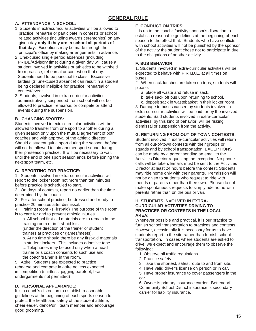## **A. ATTENDANCE IN SCHOOL:**

- 1. Students in extracurricular activities will be allowed to practice, rehearse or participate in contests or school related activities (including awards ceremonies) on any given day **only if they are in school all periods of that day**. Exceptions may be made through the principal's office by making arrangements in advance.
- 2. Unexcused single period absences (including PRIDE/Advisory time) during a given day will cause a student involved in activities or athletics to be withheld from practice, rehearsal or contest on that day. Students need to be punctual to class. Excessive tardies (3=unexcused absence) can result in a student being declared ineligible for practice, rehearsal or contest/event.
- 3. Students, involved in extra-curricular activities, administratively suspended from school will not be allowed to practice, rehearse, or compete or attend events during the suspension.

## **B. CHANGING SPORTS:**

Students involved in extra-curricular activities will be allowed to transfer from one sport to another during a given season only upon the mutual agreement of both coaches and with approval of the athletic director. Should a student quit a sport during the season, he/she will not be allowed to join another sport squad during their preseason practice. It will be necessary to wait until the end of one sport season ends before joining the next sport team, etc.

## **C. REPORTING FOR PRACTICE:**

1. Students involved in extra-curricular activities will report to the locker room not more than ten minutes before practice is scheduled to start.

2. On days of contests, report no earlier than the time determined by the coach.

3. For after school practice, be dressed and ready to practice 20 minutes after dismissal.

4. Training Room - (First-aid) The purpose of this room is to care for and to prevent athletic injuries.

a. All school first-aid materials are to remain in the training room or in first-aid kits

(under the direction of the trainer or student trainers at practices or games/meets).

b. At no time should there be any first-aid materials

in student lockers. This includes adhesive tape.

c. Telephones may be used only when a head trainer or a coach consents to such use and the coach/trainer is in the room.

5. Attire: Students are expected to practice, rehearse and compete in attire no less expected in competition (shirtless, jogging barefoot, bras, undergarments not permitted)

## **D. PERSONAL APPEARANCE:**

It is a coach's discretion to establish reasonable guidelines at the beginning of each sports season to protect the health and safety of the student athlete, cheerleader, dance/drill team member and encourage good grooming.

## **E. CONDUCT ON TRIPS:**

It is up to the coach's/activity sponsor's discretion to establish reasonable guidelines at the beginning of each season to the effect that: Students who have conflicts with school activities will not be punished by the sponsor of the activity the student chose not to participate in due to the obligations of another activity.

## **F. BUS BEHAVIOR:**

1. Students involved in extra-curricular activities will be expected to behave with P.R.I.D.E. at all times on buses.

2. When sack lunches are taken on trips, students will please:

- a. place all waste and refuse in sack.
- b. take sack off bus upon returning to school.
- c. deposit sack in wastebasket in their locker room.

3. Damage to buses caused by students involved in extra-curricular activities will be paid for by the involved students. Said students involved in extra-curricular activities, by this kind of behavior, will be risking dismissal or suspension from the activity.

## **G. RETURNING FROM OUT-OF TOWN CONTESTS:**

Student involved in extra-curricular activities will return from all out-of-town contests with their groups or squads and by school transportation. EXCEPTIONS can be made by a parent sending an email to the Activities Director requesting the exception. No phone calls will be taken. Emails must be sent to the Activities Director at least 24 hours before the contest. Students may ride home only with their parents. Permission will not be given to students who request to ride with friends or parents other than their own. Please do not make spontaneous requests to simply ride home with parents rather than on the bus or van.

### **H. STUDENTS INVOLVED IN EXTRA-CURRICULAR ACTIVITIES DRIVING TO PRACTICES OR CONTESTS IN THE LOCAL AREA:**

Whenever possible and practical, it is our practice to furnish school transportation to practices and contests. However, occasionally it is necessary for us to have students report to the site rather than furnish school transportation. In cases where students are asked to drive, we expect and encourage them to observe the following:

- 1. Observe all traffic regulations.
- 2. Practice safety.
- 3. Take the shortest, safest route to and from site.
- 4. Have valid driver's license on person or in car.

5. Have proper insurance to cover passengers in the car.

6. Owner is primary insurance carrier. Bettendorf Community School District insurance is secondary carrier for liability insurance.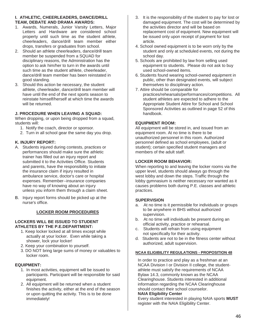## **I. ATHLETIC, CHEERLEADERS, DANCE/DRILL TEAM, DEBATE AND DRAMA AWARDS:**

- 1. Awards, Numerals, Junior Varsity Letters, Major Letters and Hardware are considered school property until such time as the student athlete, cheerleaders, dance/drill team member either drops, transfers or graduates from school.
- 2. Should an athlete cheerleaders, dance/drill team member be suspended from a SQUAD for disciplinary reasons, the Administration has the option to ask him/her to turn in the awards until such time as the student athlete, cheerleader, dance/drill team member has been reinstated in good standing.
- 3. Should this action be necessary, the student athlete, cheerleader, dance/drill team member will have until the end of the next sports season to reinstate himself/herself at which time the awards will be returned.

## **J. PROCEDURE WHEN LEAVING A SQUAD:**

When dropping, or upon being dropped from a squad, students will:

- 1. Notify the coach, director or sponsor.
- 2. Turn in all school gear the same day you drop.

## **K. INJURY REPORT:**

- A. Students injured during contests, practices or performances should make sure the athletic trainer has filled out an injury report and submitted it to the Activities Office. Students and parents, have the responsibility to initiate the insurance claim if injury resulted in ambulance service, doctor's care or hospital expenses. Remember--insurance companies have no way of knowing about an injury unless you inform them through a claim sheet.
- B. Injury report forms should be picked up at the nurse's office.

## **LOCKER ROOM PROCEDURES**

#### **LOCKERS WILL BE ISSUED TO STUDENT ATHLETES BY THE P.E.DEPARTMENT:**

- 1. Keep locker locked at all times except while actually at your locker. Even while taking a shower, lock your locker!
- 2. Keep your combination to yourself.
- 3. DO NOT bring large sums of money or valuables to locker room.

## **EQUIPMENT:**

- 1. In most activities, equipment will be issued to participants. Participant will be responsible for said equipment.
- 2. All equipment will be returned when a student finishes the activity, either at the end of the season or upon quitting the activity. This is to be done immediately!
- 3. It is the responsibility of the student to pay for lost or damaged equipment. The cost will be determined by the activities director and will be based on replacement cost of equipment. New equipment will be issued only upon receipt of payment for lost article.
- 4. School owned equipment is to be worn only by the student and only at scheduled events, not during the school day.
- 5. Schools are prohibited by law from selling used equipment to students. Please do not ask to buy used school-owned items.
- 6. Students found wearing school-owned equipment in public, other than designated events, will subject themselves to disciplinary action.
- 7. Attire should be comparable for
- practices/rehearsals/performances/competitions. All student athletes are expected to adhere to the Appropriate Student Attire for School and School Sponsored Activities as outlined in page 52 of this handbook.

## **EQUIPMENT ROOM:**

All equipment will be stored in, and issued from an equipment room. At no time is there to be unauthorized personnel in this room. Authorized personnel defined as school employees, (adult or student); certain specified student managers and members of the adult staff.

## **LOCKER ROOM BEHAVIOR:**

When reporting to and leaving the locker rooms via the upper level, students should always go through the west lobby and down the steps. Traffic through the lobby gymnasium is neither necessary nor wanted as it causes problems both during P.E. classes and athletic practices.

## **SUPERVISION**

- a. At no time is it permissible for individuals or groups to be anywhere in BHS without authorized supervision.
- b. At no time will individuals be present during an official activity, practice or rehearsal.
- c. Students will refrain from using equipment not specifically for their activity.
- d. Students are not to be in the fitness center without authorized, adult supervision.

#### **NCAA ELIGIBILITY REGULATIONS - PROPOSITION 48**

In order to practice and play as a freshman at an NCAA Division I or Division II college, the studentathlete must satisfy the requirements of NCAA Bylaw 14.3, commonly known as the NCAA Clearinghouse. Students interested in additional information regarding the NCAA Clearinghouse should contact their school counselor.

#### **NAIA Eligibility Center**

Every student interested in playing NAIA sports **MUST**  register with the NAIA Eligibility Center.